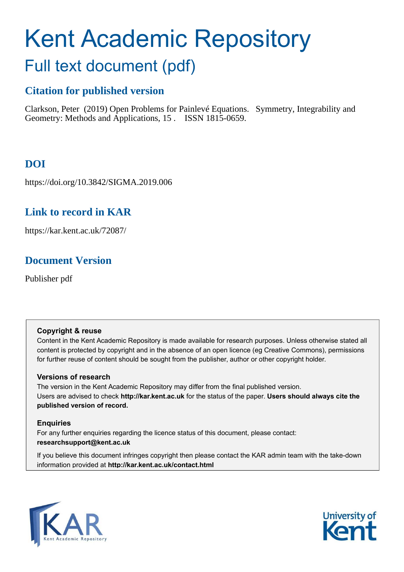# Kent Academic Repository

## Full text document (pdf)

## **Citation for published version**

Clarkson, Peter (2019) Open Problems for Painlevé Equations. Symmetry, Integrability and Geometry: Methods and Applications, 15 . ISSN 1815-0659.

## **DOI**

https://doi.org/10.3842/SIGMA.2019.006

## **Link to record in KAR**

https://kar.kent.ac.uk/72087/

## **Document Version**

Publisher pdf

## **Copyright & reuse**

Content in the Kent Academic Repository is made available for research purposes. Unless otherwise stated all content is protected by copyright and in the absence of an open licence (eg Creative Commons), permissions for further reuse of content should be sought from the publisher, author or other copyright holder.

## **Versions of research**

The version in the Kent Academic Repository may differ from the final published version. Users are advised to check **http://kar.kent.ac.uk** for the status of the paper. **Users should always cite the published version of record.**

## **Enquiries**

For any further enquiries regarding the licence status of this document, please contact: **researchsupport@kent.ac.uk**

If you believe this document infringes copyright then please contact the KAR admin team with the take-down information provided at **http://kar.kent.ac.uk/contact.html**

<span id="page-0-0"></span>

<span id="page-0-4"></span><span id="page-0-3"></span><span id="page-0-2"></span><span id="page-0-1"></span>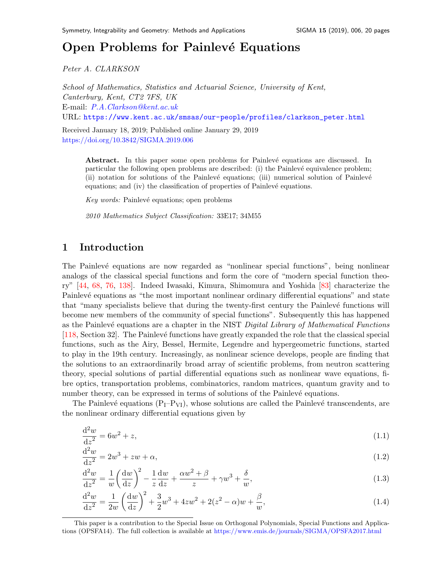## Open Problem[s](#page-0-0) for Painlevé Equations

Peter A. CLARKSON

School of Mathematics, Statistics and Actuarial Science, University of Kent, Canterbury, Kent, CT2 7FS, UK E-mail: [P.A.Clarkson@kent.ac.uk](mailto:P.A.Clarkson@kent.ac.uk) URL: [https://www.kent.ac.uk/smsas/our-people/profiles/clarkson\\_peter.html](https://www.kent.ac.uk/smsas/our-people/profiles/clarkson_peter.html)

Received January 18, 2019; Published online January 29, 2019 <https://doi.org/10.3842/SIGMA.2019.006>

> <span id="page-1-5"></span><span id="page-1-3"></span><span id="page-1-0"></span>Abstract. In this paper some open problems for Painlevé equations are discussed. In particular the following open problems are described: (i) the Painlevé equivalence problem; (ii) notation for solutions of the Painlevé equations; (iii) numerical solution of Painlevé equations; and (iv) the classification of properties of Painlevé equations.

 $Key words: Painlevé equations; open problems$ 

<span id="page-1-4"></span>2010 Mathematics Subject Classification: 33E17; 34M55

## 1 Introduction

The Painlevé equations are now regarded as "nonlinear special functions", being nonlinear analogs of the classical special functions and form the core of "modern special function theory" [\[44,](#page-15-0) [68,](#page-16-0) [76,](#page-16-1) [138\]](#page-19-0). Indeed Iwasaki, Kimura, Shimomura and Yoshida [\[83\]](#page-17-0) characterize the Painlevé equations as "the most important nonlinear ordinary differential equations" and state that "many specialists believe that during the twenty-first century the Painlevé functions will become new members of the community of special functions". Subsequently this has happened as the Painlevé equations are a chapter in the NIST Digital Library of Mathematical Functions [\[118,](#page-18-0) Section 32]. The Painlevé functions have greatly expanded the role that the classical special functions, such as the Airy, Bessel, Hermite, Legendre and hypergeometric functions, started to play in the 19th century. Increasingly, as nonlinear science develops, people are finding that the solutions to an extraordinarily broad array of scientific problems, from neutron scattering theory, special solutions of partial differential equations such as nonlinear wave equations, fibre optics, transportation problems, combinatorics, random matrices, quantum gravity and to number theory, can be expressed in terms of solutions of the Painlevé equations.

The Painlevé equations  $(P_I-P_{VI})$ , whose solutions are called the Painlevé transcendents, are the nonlinear ordinary differential equations given by

<span id="page-1-2"></span><span id="page-1-1"></span>
$$
\frac{d^2w}{dz^2} = 6w^2 + z,\tag{1.1}
$$

$$
\frac{d^2w}{dz^2} = 2w^3 + zw + \alpha,\tag{1.2}
$$

<span id="page-1-6"></span>
$$
\frac{\mathrm{d}^2 w}{\mathrm{d}z^2} = \frac{1}{w} \left(\frac{\mathrm{d}w}{\mathrm{d}z}\right)^2 - \frac{1}{z} \frac{\mathrm{d}w}{\mathrm{d}z} + \frac{\alpha w^2 + \beta}{z} + \gamma w^3 + \frac{\delta}{w},\tag{1.3}
$$

$$
\frac{d^2w}{dz^2} = \frac{1}{2w} \left(\frac{dw}{dz}\right)^2 + \frac{3}{2}w^3 + 4zw^2 + 2(z^2 - \alpha)w + \frac{\beta}{w},\tag{1.4}
$$

This paper is a contribution to the Special Issue on Orthogonal Polynomials, Special Functions and Applications (OPSFA14). The full collection is available at <https://www.emis.de/journals/SIGMA/OPSFA2017.html>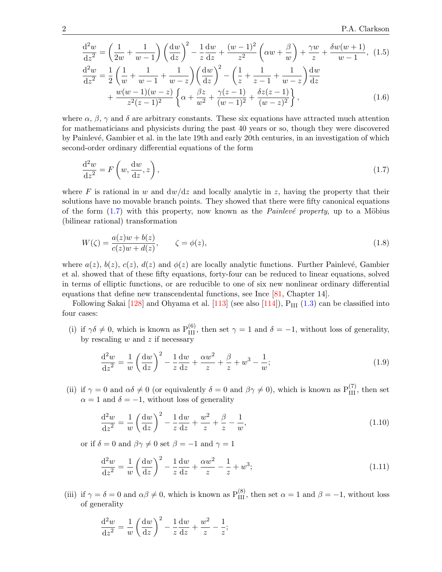$$
\frac{d^2w}{dz^2} = \left(\frac{1}{2w} + \frac{1}{w-1}\right) \left(\frac{dw}{dz}\right)^2 - \frac{1}{z}\frac{dw}{dz} + \frac{(w-1)^2}{z^2} \left(\alpha w + \frac{\beta}{w}\right) + \frac{\gamma w}{z} + \frac{\delta w(w+1)}{w-1}, (1.5)
$$
\n
$$
\frac{d^2w}{dz^2} = \frac{1}{2} \left(\frac{1}{w} + \frac{1}{w-1} + \frac{1}{w-z}\right) \left(\frac{dw}{dz}\right)^2 - \left(\frac{1}{z} + \frac{1}{z-1} + \frac{1}{w-z}\right) \frac{dw}{dz}
$$
\n
$$
+ \frac{w(w-1)(w-z)}{z^2(z-1)^2} \left\{\alpha + \frac{\beta z}{w^2} + \frac{\gamma(z-1)}{(w-1)^2} + \frac{\delta z(z-1)}{(w-z)^2}\right\}, (1.6)
$$

where  $\alpha$ ,  $\beta$ ,  $\gamma$  and  $\delta$  are arbitrary constants. These six equations have attracted much attention for mathematicians and physicists during the past 40 years or so, though they were discovered by Painlevé, Gambier et al. in the late 19th and early 20th centuries, in an investigation of which second-order ordinary differential equations of the form

<span id="page-2-3"></span>
$$
\frac{\mathrm{d}^2 w}{\mathrm{d}z^2} = F\left(w, \frac{\mathrm{d}w}{\mathrm{d}z}, z\right),\tag{1.7}
$$

where F is rational in w and  $dw/dz$  and locally analytic in z, having the property that their solutions have no movable branch points. They showed that there were fifty canonical equations of the form  $(1.7)$  with this property, now known as the *Painlevé property*, up to a Möbius (bilinear rational) transformation

$$
W(\zeta) = \frac{a(z)w + b(z)}{c(z)w + d(z)}, \qquad \zeta = \phi(z), \tag{1.8}
$$

where  $a(z)$ ,  $b(z)$ ,  $c(z)$ ,  $d(z)$  and  $\phi(z)$  are locally analytic functions. Further Painlevé, Gambier et al. showed that of these fifty equations, forty-four can be reduced to linear equations, solved in terms of elliptic functions, or are reducible to one of six new nonlinear ordinary differential equations that define new transcendental functions, see Ince [\[81,](#page-17-1) Chapter 14].

Following Sakai  $[128]$  and Ohyama et al.  $[113]$  (see also  $[114]$ ),  $P_{III}$   $(1.3)$  can be classified into four cases:

(i) if  $\gamma \delta \neq 0$ , which is known as P<sub>III</sub>, then set  $\gamma = 1$  and  $\delta = -1$ , without loss of generality, by rescaling  $w$  and  $z$  if necessary

<span id="page-2-2"></span>
$$
\frac{d^2w}{dz^2} = \frac{1}{w} \left(\frac{dw}{dz}\right)^2 - \frac{1}{z}\frac{dw}{dz} + \frac{\alpha w^2}{z} + \frac{\beta}{z} + w^3 - \frac{1}{w};\tag{1.9}
$$

(ii) if  $\gamma = 0$  and  $\alpha \delta \neq 0$  (or equivalently  $\delta = 0$  and  $\beta \gamma \neq 0$ ), which is known as  $P_{III}^{(7)}$ , then set  $\alpha = 1$  and  $\delta = -1$ , without loss of generality

$$
\frac{d^2w}{dz^2} = \frac{1}{w} \left(\frac{dw}{dz}\right)^2 - \frac{1}{z}\frac{dw}{dz} + \frac{w^2}{z} + \frac{\beta}{z} - \frac{1}{w},\tag{1.10}
$$

or if  $\delta = 0$  and  $\beta \gamma \neq 0$  set  $\beta = -1$  and  $\gamma = 1$ 

<span id="page-2-1"></span>
$$
\frac{d^2w}{dz^2} = \frac{1}{w} \left(\frac{dw}{dz}\right)^2 - \frac{1}{z}\frac{dw}{dz} + \frac{\alpha w^2}{z} - \frac{1}{z} + w^3;
$$
\n(1.11)

(iii) if  $\gamma = \delta = 0$  and  $\alpha\beta \neq 0$ , which is known as  $P_{III}^{(8)}$ , then set  $\alpha = 1$  and  $\beta = -1$ , without loss of generality

<span id="page-2-0"></span>
$$
\frac{\mathrm{d}^2 w}{\mathrm{d}z^2} = \frac{1}{w} \left(\frac{\mathrm{d}w}{\mathrm{d}z}\right)^2 - \frac{1}{z} \frac{\mathrm{d}w}{\mathrm{d}z} + \frac{w^2}{z} - \frac{1}{z};
$$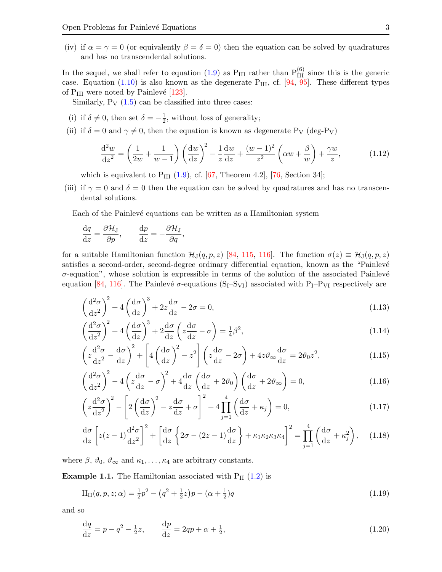(iv) if  $\alpha = \gamma = 0$  (or equivalently  $\beta = \delta = 0$ ) then the equation can be solved by quadratures and has no transcendental solutions.

In the sequel, we shall refer to equation [\(1.9\)](#page-1-1) as  $P_{III}$  rather than  $P_{III}^{(6)}$  since this is the generic case. Equation  $(1.10)$  is also known as the degenerate P<sub>III</sub>, cf. [\[94,](#page-17-2) [95\]](#page-17-3). These different types of  $P_{III}$  were noted by Painlevé [\[123\]](#page-18-4).

Similarly,  $P_V$  [\(1.5\)](#page-1-3) can be classified into three cases:

- (i) if  $\delta \neq 0$ , then set  $\delta = -\frac{1}{2}$  $\frac{1}{2}$ , without loss of generality;
- (ii) if  $\delta = 0$  and  $\gamma \neq 0$ , then the equation is known as degenerate P<sub>V</sub> (deg-P<sub>V</sub>)

<span id="page-3-0"></span>
$$
\frac{\mathrm{d}^2 w}{\mathrm{d}z^2} = \left(\frac{1}{2w} + \frac{1}{w-1}\right) \left(\frac{\mathrm{d}w}{\mathrm{d}z}\right)^2 - \frac{1}{z} \frac{\mathrm{d}w}{\mathrm{d}z} + \frac{(w-1)^2}{z^2} \left(\alpha w + \frac{\beta}{w}\right) + \frac{\gamma w}{z},\tag{1.12}
$$

which is equivalent to  $P_{III}$  [\(1.9\)](#page-1-1), cf. [\[67,](#page-16-2) Theorem 4.2], [\[76,](#page-16-1) Section 34];

(iii) if  $\gamma = 0$  and  $\delta = 0$  then the equation can be solved by quadratures and has no transcendental solutions.

Each of the Painlevé equations can be written as a Hamiltonian system

$$
\frac{\mathrm{d}q}{\mathrm{d}z} = \frac{\partial \mathcal{H}_{\mathrm{J}}}{\partial p}, \qquad \frac{\mathrm{d}p}{\mathrm{d}z} = -\frac{\partial \mathcal{H}_{\mathrm{J}}}{\partial q},
$$

for a suitable Hamiltonian function  $\mathcal{H}_{J}(q, p, z)$  [\[84,](#page-17-4) [115,](#page-18-5) [116\]](#page-18-6). The function  $\sigma(z) \equiv \mathcal{H}_{J}(q, p, z)$ satisfies a second-order, second-degree ordinary differential equation, known as the "Painlevé"  $\sigma$ -equation", whose solution is expressible in terms of the solution of the associated Painlevé equation [\[84,](#page-17-4) [116\]](#page-18-6). The Painlevé  $\sigma$ -equations (S<sub>I</sub>–S<sub>VI</sub>) associated with P<sub>I</sub>–P<sub>VI</sub> respectively are

$$
\left(\frac{\mathrm{d}^2\sigma}{\mathrm{d}z^2}\right)^2 + 4\left(\frac{\mathrm{d}\sigma}{\mathrm{d}z}\right)^3 + 2z\frac{\mathrm{d}\sigma}{\mathrm{d}z} - 2\sigma = 0,\tag{1.13}
$$

$$
\left(\frac{\mathrm{d}^2\sigma}{\mathrm{d}z^2}\right)^2 + 4\left(\frac{\mathrm{d}\sigma}{\mathrm{d}z}\right)^3 + 2\frac{\mathrm{d}\sigma}{\mathrm{d}z}\left(z\frac{\mathrm{d}\sigma}{\mathrm{d}z} - \sigma\right) = \frac{1}{4}\beta^2,\tag{1.14}
$$

$$
\left(z\frac{d^2\sigma}{dz^2} - \frac{d\sigma}{dz}\right)^2 + \left[4\left(\frac{d\sigma}{dz}\right)^2 - z^2\right] \left(z\frac{d\sigma}{dz} - 2\sigma\right) + 4z\vartheta_{\infty}\frac{d\sigma}{dz} = 2\vartheta_0 z^2,\tag{1.15}
$$

$$
\left(\frac{\mathrm{d}^2\sigma}{\mathrm{d}z^2}\right)^2 - 4\left(z\frac{\mathrm{d}\sigma}{\mathrm{d}z} - \sigma\right)^2 + 4\frac{\mathrm{d}\sigma}{\mathrm{d}z}\left(\frac{\mathrm{d}\sigma}{\mathrm{d}z} + 2\vartheta_0\right)\left(\frac{\mathrm{d}\sigma}{\mathrm{d}z} + 2\vartheta_\infty\right) = 0,\tag{1.16}
$$

$$
\left(z\frac{\mathrm{d}^2\sigma}{\mathrm{d}z^2}\right)^2 - \left[2\left(\frac{\mathrm{d}\sigma}{\mathrm{d}z}\right)^2 - z\frac{\mathrm{d}\sigma}{\mathrm{d}z} + \sigma\right]^2 + 4\prod_{j=1}^4 \left(\frac{\mathrm{d}\sigma}{\mathrm{d}z} + \kappa_j\right) = 0,\tag{1.17}
$$

$$
\frac{d\sigma}{dz} \left[ z(z-1) \frac{d^2\sigma}{dz^2} \right]^2 + \left[ \frac{d\sigma}{dz} \left\{ 2\sigma - (2z-1) \frac{d\sigma}{dz} \right\} + \kappa_1 \kappa_2 \kappa_3 \kappa_4 \right]^2 = \prod_{j=1}^4 \left( \frac{d\sigma}{dz} + \kappa_j^2 \right), \quad (1.18)
$$

where  $\beta$ ,  $\vartheta_0$ ,  $\vartheta_{\infty}$  and  $\kappa_1, \ldots, \kappa_4$  are arbitrary constants.

**Example 1.1.** The Hamiltonian associated with  $P_{II}$  [\(1.2\)](#page-0-2) is

$$
H_{II}(q, p, z; \alpha) = \frac{1}{2}p^2 - (q^2 + \frac{1}{2}z)p - (\alpha + \frac{1}{2})q
$$
\n(1.19)

and so

$$
\frac{dq}{dz} = p - q^2 - \frac{1}{2}z, \qquad \frac{dp}{dz} = 2qp + \alpha + \frac{1}{2}, \tag{1.20}
$$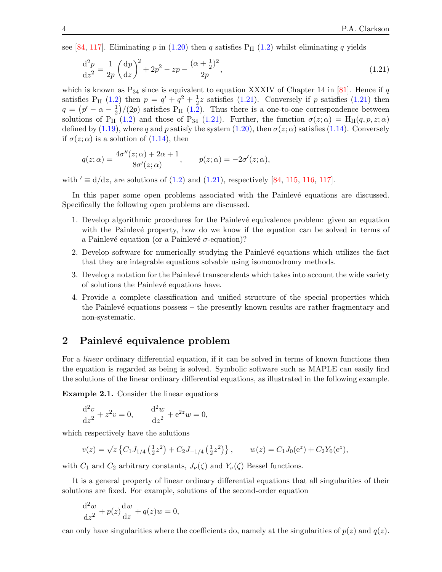see [\[84,](#page-17-4) [117\]](#page-18-7). Eliminating p in [\(1.20\)](#page-2-0) then q satisfies  $P_{II}$  [\(1.2\)](#page-0-2) whilst eliminating q yields

$$
\frac{\mathrm{d}^2 p}{\mathrm{d}z^2} = \frac{1}{2p} \left(\frac{\mathrm{d}p}{\mathrm{d}z}\right)^2 + 2p^2 - zp - \frac{(\alpha + \frac{1}{2})^2}{2p},\tag{1.21}
$$

which is known as  $P_{34}$  since is equivalent to equation XXXIV of Chapter 14 in [\[81\]](#page-17-1). Hence if q satisfies P<sub>II</sub> [\(1.2\)](#page-0-2) then  $p = q' + q^2 + \frac{1}{2}$  $\frac{1}{2}z$  satisfies [\(1.21\)](#page-3-0). Conversely if p satisfies (1.21) then  $q = (p' - \alpha - \frac{1}{2})$  $\frac{1}{2}$ /(2p) satisfies P<sub>II</sub> [\(1.2\)](#page-0-2). Thus there is a one-to-one correspondence between solutions of P<sub>II</sub> [\(1.2\)](#page-0-2) and those of P<sub>34</sub> [\(1.21\)](#page-3-0). Further, the function  $\sigma(z;\alpha) = H_{II}(q,p,z;\alpha)$ defined by [\(1.19\)](#page-2-1), where q and p satisfy the system [\(1.20\)](#page-2-0), then  $\sigma(z; \alpha)$  satisfies [\(1.14\)](#page-2-2). Conversely if  $\sigma(z;\alpha)$  is a solution of  $(1.14)$ , then

$$
q(z; \alpha) = \frac{4\sigma''(z; \alpha) + 2\alpha + 1}{8\sigma'(z; \alpha)}, \qquad p(z; \alpha) = -2\sigma'(z; \alpha),
$$

with  $' \equiv d/dz$ , are solutions of [\(1.2\)](#page-0-2) and [\(1.21\)](#page-3-0), respectively [\[84,](#page-17-4) [115,](#page-18-5) [116,](#page-18-6) [117\]](#page-18-7).

In this paper some open problems associated with the Painlevé equations are discussed. Specifically the following open problems are discussed.

- 1. Develop algorithmic procedures for the Painlevé equivalence problem: given an equation with the Painlevé property, how do we know if the equation can be solved in terms of a Painlevé equation (or a Painlevé  $\sigma$ -equation)?
- 2. Develop software for numerically studying the Painlevé equations which utilizes the fact that they are integrable equations solvable using isomonodromy methods.
- 3. Develop a notation for the Painlevé transcendents which takes into account the wide variety of solutions the Painlevé equations have.
- 4. Provide a complete classification and unified structure of the special properties which the Painlevé equations possess – the presently known results are rather fragmentary and non-systematic.

## 2 Painlevé equivalence problem

For a *linear* ordinary differential equation, if it can be solved in terms of known functions then the equation is regarded as being is solved. Symbolic software such as MAPLE can easily find the solutions of the linear ordinary differential equations, as illustrated in the following example.

Example 2.1. Consider the linear equations

<span id="page-4-0"></span>
$$
\frac{d^2v}{dz^2} + z^2v = 0, \qquad \frac{d^2w}{dz^2} + e^{2z}w = 0,
$$

which respectively have the solutions

$$
v(z) = \sqrt{z} \left\{ C_1 J_{1/4} \left( \frac{1}{2} z^2 \right) + C_2 J_{-1/4} \left( \frac{1}{2} z^2 \right) \right\}, \qquad w(z) = C_1 J_0(e^z) + C_2 Y_0(e^z),
$$

with  $C_1$  and  $C_2$  arbitrary constants,  $J_{\nu}(\zeta)$  and  $Y_{\nu}(\zeta)$  Bessel functions.

It is a general property of linear ordinary differential equations that all singularities of their solutions are fixed. For example, solutions of the second-order equation

<span id="page-4-2"></span><span id="page-4-1"></span>
$$
\frac{\mathrm{d}^2 w}{\mathrm{d}z^2} + p(z)\frac{\mathrm{d}w}{\mathrm{d}z} + q(z)w = 0,
$$

can only have singularities where the coefficients do, namely at the singularities of  $p(z)$  and  $q(z)$ .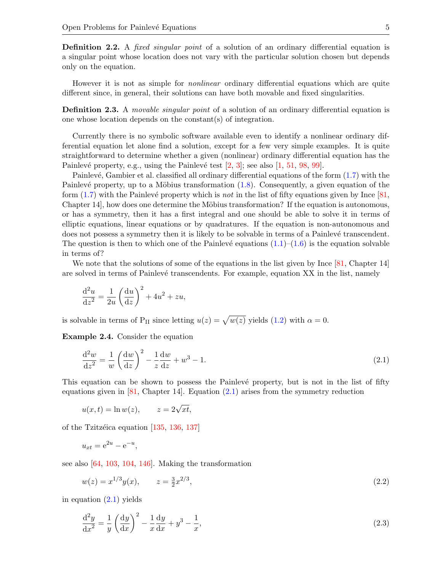Definition 2.2. A *fixed singular point* of a solution of an ordinary differential equation is a singular point whose location does not vary with the particular solution chosen but depends only on the equation.

However it is not as simple for nonlinear ordinary differential equations which are quite different since, in general, their solutions can have both movable and fixed singularities.

Definition 2.3. A *movable singular point* of a solution of an ordinary differential equation is one whose location depends on the constant(s) of integration.

<span id="page-5-1"></span>Currently there is no symbolic software available even to identify a nonlinear ordinary differential equation let alone find a solution, except for a few very simple examples. It is quite straightforward to determine whether a given (nonlinear) ordinary differential equation has the Painlevé property, e.g., using the Painlevé test  $[2, 3]$  $[2, 3]$ ; see also  $[1, 51, 98, 99]$  $[1, 51, 98, 99]$  $[1, 51, 98, 99]$  $[1, 51, 98, 99]$  $[1, 51, 98, 99]$  $[1, 51, 98, 99]$ .

Painlevé, Gambier et al. classified all ordinary differential equations of the form  $(1.7)$  with the Painlevé property, up to a Möbius transformation  $(1.8)$ . Consequently, a given equation of the form  $(1.7)$  with the Painlevé property which is not in the list of fifty equations given by Ince  $[81, 6]$ Chapter  $14$ , how does one determine the Möbius transformation? If the equation is autonomous, or has a symmetry, then it has a first integral and one should be able to solve it in terms of elliptic equations, linear equations or by quadratures. If the equation is non-autonomous and does not possess a symmetry then it is likely to be solvable in terms of a Painlevé transcendent. The question is then to which one of the Painlevé equations  $(1.1)$ – $(1.6)$  is the equation solvable in terms of?

We note that the solutions of some of the equations in the list given by Ince [\[81,](#page-17-1) Chapter 14] are solved in terms of Painlevé transcendents. For example, equation XX in the list, namely

<span id="page-5-0"></span>
$$
\frac{\mathrm{d}^2 u}{\mathrm{d}z^2} = \frac{1}{2u} \left( \frac{\mathrm{d}u}{\mathrm{d}z} \right)^2 + 4u^2 + zu,
$$

is solvable in terms of P<sub>II</sub> since letting  $u(z) = \sqrt{w(z)}$  yields [\(1.2\)](#page-0-2) with  $\alpha = 0$ .

Example 2.4. Consider the equation

$$
\frac{\mathrm{d}^2 w}{\mathrm{d}z^2} = \frac{1}{w} \left(\frac{\mathrm{d}w}{\mathrm{d}z}\right)^2 - \frac{1}{z} \frac{\mathrm{d}w}{\mathrm{d}z} + w^3 - 1. \tag{2.1}
$$

This equation can be shown to possess the Painlevé property, but is not in the list of fifty equations given in  $[81, Chapter 14]$ . Equation  $(2.1)$  arises from the symmetry reduction

$$
u(x,t) = \ln w(z), \qquad z = 2\sqrt{xt},
$$

,

of the Tzitzéica equation  $[135, 136, 137]$  $[135, 136, 137]$  $[135, 136, 137]$  $[135, 136, 137]$ 

$$
u_{xt} = e^{2u} - e^{-u}
$$

see also [\[64,](#page-16-3) [103,](#page-17-7) [104,](#page-17-8) [146\]](#page-19-4). Making the transformation

$$
w(z) = x^{1/3}y(x), \qquad z = \frac{3}{2}x^{2/3}, \tag{2.2}
$$

in equation  $(2.1)$  yields

$$
\frac{\mathrm{d}^2 y}{\mathrm{d}x^2} = \frac{1}{y} \left(\frac{\mathrm{d}y}{\mathrm{d}x}\right)^2 - \frac{1}{x} \frac{\mathrm{d}y}{\mathrm{d}x} + y^3 - \frac{1}{x},\tag{2.3}
$$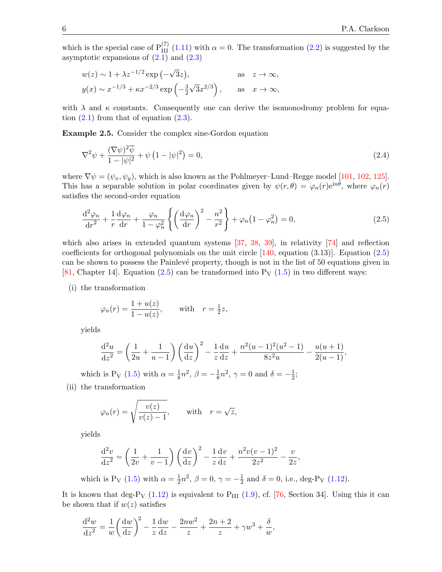which is the special case of  $P_{III}^{(7)}$  [\(1.11\)](#page-1-6) with  $\alpha = 0$ . The transformation [\(2.2\)](#page-4-1) is suggested by the asymptotic expansions of  $(2.1)$  and  $(2.3)$ 

$$
w(z) \sim 1 + \lambda z^{-1/2} \exp(-\sqrt{3}z), \qquad \text{as} \quad z \to \infty,
$$
  

$$
y(x) \sim x^{-1/3} + \kappa x^{-2/3} \exp\left(-\frac{3}{2}\sqrt{3}x^{2/3}\right), \qquad \text{as} \quad x \to \infty,
$$

with  $\lambda$  and  $\kappa$  constants. Consequently one can derive the isomonodromy problem for equation  $(2.1)$  from that of equation  $(2.3)$ .

Example 2.5. Consider the complex sine-Gordon equation

<span id="page-6-2"></span><span id="page-6-1"></span><span id="page-6-0"></span>
$$
\nabla^2 \psi + \frac{(\nabla \psi)^2 \overline{\psi}}{1 - |\psi|^2} + \psi \left( 1 - |\psi|^2 \right) = 0,
$$
\n(2.4)

where  $\nabla \psi = (\psi_x, \psi_y)$ , which is also known as the Pohlmeyer–Lund–Regge model [\[101,](#page-17-9) [102,](#page-17-10) [125\]](#page-18-8). This has a separable solution in polar coordinates given by  $\psi(r,\theta) = \varphi_n(r)e^{in\theta}$ , where  $\varphi_n(r)$ satisfies the second-order equation

<span id="page-6-3"></span>
$$
\frac{\mathrm{d}^2 \varphi_n}{\mathrm{d}r^2} + \frac{1}{r} \frac{\mathrm{d}\varphi_n}{\mathrm{d}r} + \frac{\varphi_n}{1 - \varphi_n^2} \left\{ \left( \frac{\mathrm{d}\varphi_n}{\mathrm{d}r} \right)^2 - \frac{n^2}{r^2} \right\} + \varphi_n \left( 1 - \varphi_n^2 \right) = 0, \tag{2.5}
$$

which also arises in extended quantum systems  $[37, 38, 39]$  $[37, 38, 39]$  $[37, 38, 39]$  $[37, 38, 39]$ , in relativity  $[74]$  and reflection coefficients for orthogonal polynomials on the unit circle  $[140, \text{ equation } (3.13)]$ . Equation  $(2.5)$ can be shown to possess the Painlevé property, though is not in the list of 50 equations given in [\[81,](#page-17-1) Chapter 14]. Equation [\(2.5\)](#page-5-0) can be transformed into  $P_V$  [\(1.5\)](#page-1-3) in two different ways:

(i) the transformation

$$
\varphi_n(r) = \frac{1 + u(z)}{1 - u(z)}, \quad \text{with} \quad r = \frac{1}{2}z,
$$

yields

$$
\frac{d^2u}{dz^2} = \left(\frac{1}{2u} + \frac{1}{u-1}\right) \left(\frac{du}{dz}\right)^2 - \frac{1}{z}\frac{du}{dz} + \frac{n^2(u-1)^2(u^2-1)}{8z^2u} - \frac{u(u+1)}{2(u-1)},
$$

which is P<sub>V</sub> [\(1.5\)](#page-1-3) with  $\alpha = \frac{1}{8}$  $\frac{1}{8}n^2, \beta = -\frac{1}{8}$  $\frac{1}{8}n^2$ ,  $\gamma = 0$  and  $\delta = -\frac{1}{2}$  $\frac{1}{2}$ ;

(ii) the transformation

$$
\varphi_n(r) = \sqrt{\frac{v(z)}{v(z) - 1}},
$$
 with  $r = \sqrt{z},$ 

yields

<span id="page-6-6"></span><span id="page-6-5"></span><span id="page-6-4"></span>
$$
\frac{d^2v}{dz^2} = \left(\frac{1}{2v} + \frac{1}{v-1}\right) \left(\frac{dv}{dz}\right)^2 - \frac{1}{z}\frac{dv}{dz} + \frac{n^2v(v-1)^2}{2z^2} - \frac{v}{2z},
$$

which is P<sub>V</sub> [\(1.5\)](#page-1-3) with  $\alpha = \frac{1}{2}$  $\frac{1}{2}n^2, \beta = 0, \gamma = -\frac{1}{2}$  $\frac{1}{2}$  and  $\delta = 0$ , i.e., deg-P<sub>V</sub> [\(1.12\)](#page-2-3).

It is known that deg-P<sub>V</sub> [\(1.12\)](#page-2-3) is equivalent to  $P_{III}$  [\(1.9\)](#page-1-1), cf. [\[76,](#page-16-1) Section 34]. Using this it can be shown that if  $w(z)$  satisfies

$$
\frac{\mathrm{d}^2 w}{\mathrm{d}z^2} = \frac{1}{w} \left( \frac{\mathrm{d}w}{\mathrm{d}z} \right)^2 - \frac{1}{z} \frac{\mathrm{d}w}{\mathrm{d}z} - \frac{2nw^2}{z} + \frac{2n+2}{z} + \gamma w^3 + \frac{\delta}{w},
$$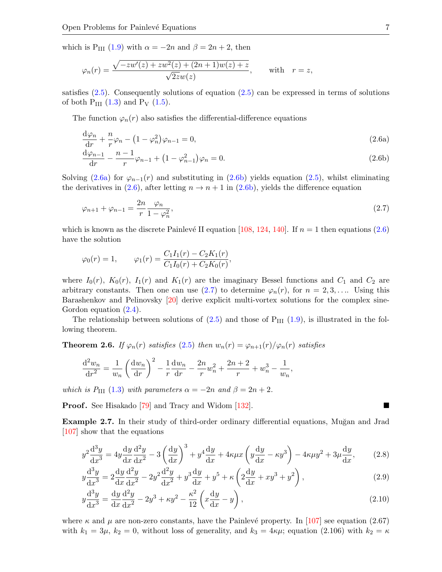which is P<sub>III</sub> [\(1.9\)](#page-1-1) with  $\alpha = -2n$  and  $\beta = 2n + 2$ , then

$$
\varphi_n(r) = \frac{\sqrt{-zw'(z) + zw^2(z) + (2n+1)w(z) + z}}{\sqrt{2z}w(z)}, \quad \text{with} \quad r = z,
$$

satisfies  $(2.5)$ . Consequently solutions of equation  $(2.5)$  can be expressed in terms of solutions of both  $P_{III}$  [\(1.3\)](#page-0-1) and  $P_V$  [\(1.5\)](#page-1-3).

The function  $\varphi_n(r)$  also satisfies the differential-difference equations

$$
\frac{\mathrm{d}\varphi_n}{\mathrm{d}r} + \frac{n}{r}\varphi_n - \left(1 - \varphi_n^2\right)\varphi_{n-1} = 0,\tag{2.6a}
$$

$$
\frac{d\varphi_{n-1}}{dr} - \frac{n-1}{r}\varphi_{n-1} + (1 - \varphi_{n-1}^2)\varphi_n = 0.
$$
 (2.6b)

Solving [\(2.6a\)](#page-6-0) for  $\varphi_{n-1}(r)$  and substituting in [\(2.6b\)](#page-6-1) yields equation [\(2.5\)](#page-5-0), whilst eliminating the derivatives in [\(2.6\)](#page-6-2), after letting  $n \to n+1$  in [\(2.6b\)](#page-6-1), yields the difference equation

$$
\varphi_{n+1} + \varphi_{n-1} = \frac{2n}{r} \frac{\varphi_n}{1 - \varphi_n^2},\tag{2.7}
$$

which is known as the discrete Painlevé II equation [\[108,](#page-18-9) [124,](#page-18-10) [140\]](#page-19-5). If  $n = 1$  then equations [\(2.6\)](#page-6-2) have the solution

$$
\varphi_0(r) = 1,
$$
\n
$$
\varphi_1(r) = \frac{C_1 I_1(r) - C_2 K_1(r)}{C_1 I_0(r) + C_2 K_0(r)},
$$

where  $I_0(r)$ ,  $K_0(r)$ ,  $I_1(r)$  and  $K_1(r)$  are the imaginary Bessel functions and  $C_1$  and  $C_2$  are arbitrary constants. Then one can use  $(2.7)$  to determine  $\varphi_n(r)$ , for  $n = 2, 3, \ldots$  Using this Barashenkov and Pelinovsky [\[20\]](#page-14-0) derive explicit multi-vortex solutions for the complex sine-Gordon equation  $(2.4)$ .

The relationship between solutions of  $(2.5)$  and those of  $P_{III}$   $(1.9)$ , is illustrated in the following theorem.

**Theorem 2.6.** If  $\varphi_n(r)$  satisfies [\(2.5\)](#page-5-0) then  $w_n(r) = \varphi_{n+1}(r)/\varphi_n(r)$  satisfies

$$
\frac{d^2 w_n}{dr^2} = \frac{1}{w_n} \left( \frac{dw_n}{dr} \right)^2 - \frac{1}{r} \frac{dw_n}{dr} - \frac{2n}{r} w_n^2 + \frac{2n+2}{r} + w_n^3 - \frac{1}{w_n},
$$

which is P<sub>III</sub> [\(1.3\)](#page-0-1) with parameters  $\alpha = -2n$  and  $\beta = 2n + 2$ .

**Proof.** See Hisakado [\[79\]](#page-16-5) and Tracy and Widom [\[132\]](#page-19-6).

Example 2.7. In their study of third-order ordinary differential equations, Muğan and Jrad [\[107\]](#page-18-11) show that the equations

<span id="page-7-1"></span>
$$
y^2 \frac{d^3 y}{dx^3} = 4y \frac{dy}{dx} \frac{d^2 y}{dx^2} - 3\left(\frac{dy}{dx}\right)^3 + y^4 \frac{dy}{dx} + 4\kappa \mu x \left(y \frac{dy}{dx} - \kappa y^3\right) - 4\kappa \mu y^2 + 3\mu \frac{dy}{dx},\tag{2.8}
$$

$$
y\frac{d^3y}{dx^3} = 2\frac{dy}{dx}\frac{d^2y}{dx^2} - 2y^2\frac{d^2y}{dx^2} + y^3\frac{dy}{dx} + y^5 + \kappa\left(2\frac{dy}{dx} + xy^3 + y^2\right),\tag{2.9}
$$

$$
y\frac{d^3y}{dx^3} = \frac{dy}{dx}\frac{d^2y}{dx^2} - 2y^3 + \kappa y^2 - \frac{\kappa^2}{12}\left(x\frac{dy}{dx} - y\right),\tag{2.10}
$$

<span id="page-7-0"></span>where  $\kappa$  and  $\mu$  are non-zero constants, have the Painlevé property. In [\[107\]](#page-18-11) see equation (2.67) with  $k_1 = 3\mu$ ,  $k_2 = 0$ , without loss of generality, and  $k_3 = 4\kappa\mu$ ; equation (2.106) with  $k_2 = \kappa$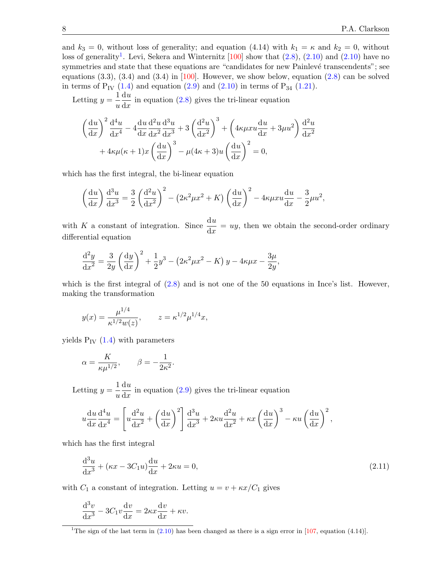and  $k_3 = 0$ , without loss of generality; and equation (4.14) with  $k_1 = \kappa$  and  $k_2 = 0$ , without loss of generality<sup>[1](#page-7-0)</sup>. Levi, Sekera and Winternitz  $[100]$  show that  $(2.8)$ ,  $(2.10)$  and  $(2.10)$  have no symmetries and state that these equations are "candidates for new Painlevé transcendents"; see equations  $(3.3)$ ,  $(3.4)$  and  $(3.4)$  in [\[100\]](#page-17-11). However, we show below, equation  $(2.8)$  can be solved in terms of  $P_{IV}$  [\(1.4\)](#page-0-4) and equation [\(2.9\)](#page-6-6) and [\(2.10\)](#page-6-5) in terms of  $P_{34}$  [\(1.21\)](#page-3-0).

Letting  $y = \frac{1}{x}$ u  $du$  $\frac{d\alpha}{dx}$  in equation [\(2.8\)](#page-6-4) gives the tri-linear equation

$$
\left(\frac{\mathrm{d}u}{\mathrm{d}x}\right)^2 \frac{\mathrm{d}^4 u}{\mathrm{d}x^4} - 4 \frac{\mathrm{d}u}{\mathrm{d}x} \frac{\mathrm{d}^2 u}{\mathrm{d}x^2} \frac{\mathrm{d}^3 u}{\mathrm{d}x^3} + 3 \left(\frac{\mathrm{d}^2 u}{\mathrm{d}x^2}\right)^3 + \left(4\kappa \mu x u \frac{\mathrm{d}u}{\mathrm{d}x} + 3\mu u^2\right) \frac{\mathrm{d}^2 u}{\mathrm{d}x^2} + 4\kappa \mu (\kappa + 1) x \left(\frac{\mathrm{d}u}{\mathrm{d}x}\right)^3 - \mu (4\kappa + 3) u \left(\frac{\mathrm{d}u}{\mathrm{d}x}\right)^2 = 0,
$$

which has the first integral, the bi-linear equation

$$
\left(\frac{\mathrm{d}u}{\mathrm{d}x}\right)\frac{\mathrm{d}^{3}u}{\mathrm{d}x^{3}} = \frac{3}{2}\left(\frac{\mathrm{d}^{2}u}{\mathrm{d}x^{2}}\right)^{2} - \left(2\kappa^{2}\mu x^{2} + K\right)\left(\frac{\mathrm{d}u}{\mathrm{d}x}\right)^{2} - 4\kappa\mu xu\frac{\mathrm{d}u}{\mathrm{d}x} - \frac{3}{2}\mu u^{2},
$$

with K a constant of integration. Since  $\frac{du}{dx} = uy$ , then we obtain the second-order ordinary differential equation

$$
\frac{d^2y}{dx^2} = \frac{3}{2y} \left(\frac{dy}{dx}\right)^2 + \frac{1}{2}y^3 - \left(2\kappa^2 \mu x^2 - K\right)y - 4\kappa \mu x - \frac{3\mu}{2y},
$$

which is the first integral of  $(2.8)$  and is not one of the 50 equations in Ince's list. However, making the transformation

<span id="page-8-0"></span>
$$
y(x) = \frac{\mu^{1/4}}{\kappa^{1/2} w(z)},
$$
  $z = \kappa^{1/2} \mu^{1/4} x,$ 

yields  $P_{IV}$  [\(1.4\)](#page-0-4) with parameters

$$
\alpha = \frac{K}{\kappa \mu^{1/2}}, \qquad \beta = -\frac{1}{2\kappa^2}.
$$

Letting  $y = \frac{1}{x}$ u  $du$  $\frac{d\alpha}{dx}$  in equation [\(2.9\)](#page-6-6) gives the tri-linear equation

$$
u\frac{\mathrm{d}u}{\mathrm{d}x}\frac{\mathrm{d}^4u}{\mathrm{d}x^4} = \left[u\frac{\mathrm{d}^2u}{\mathrm{d}x^2} + \left(\frac{\mathrm{d}u}{\mathrm{d}x}\right)^2\right]\frac{\mathrm{d}^3u}{\mathrm{d}x^3} + 2\kappa u\frac{\mathrm{d}^2u}{\mathrm{d}x^2} + \kappa x\left(\frac{\mathrm{d}u}{\mathrm{d}x}\right)^3 - \kappa u\left(\frac{\mathrm{d}u}{\mathrm{d}x}\right)^2,
$$

which has the first integral

<span id="page-8-1"></span>
$$
\frac{d^3u}{dx^3} + (\kappa x - 3C_1u)\frac{du}{dx} + 2\kappa u = 0,
$$
\n(2.11)

with  $C_1$  a constant of integration. Letting  $u = v + \kappa x / C_1$  gives

$$
\frac{\mathrm{d}^3 v}{\mathrm{d}x^3} - 3C_1 v \frac{\mathrm{d}v}{\mathrm{d}x} = 2\kappa x \frac{\mathrm{d}v}{\mathrm{d}x} + \kappa v.
$$

<sup>&</sup>lt;sup>1</sup>The sign of the last term in  $(2.10)$  has been changed as there is a sign error in [\[107,](#page-18-11) equation (4.14)].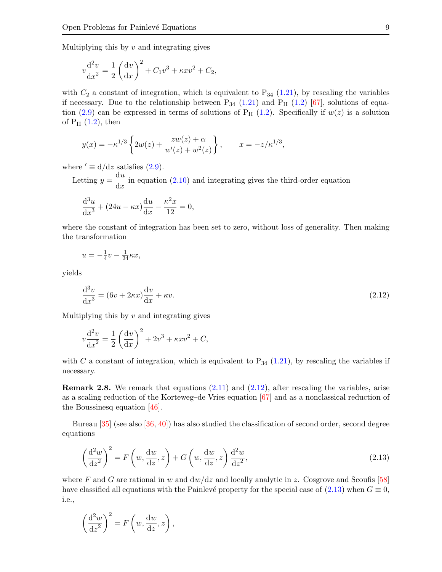Multiplying this by  $v$  and integrating gives

$$
v\frac{d^2v}{dx^2} = \frac{1}{2}\left(\frac{dv}{dx}\right)^2 + C_1v^3 + \kappa xv^2 + C_2,
$$

with  $C_2$  a constant of integration, which is equivalent to  $P_{34}$  [\(1.21\)](#page-3-0), by rescaling the variables if necessary. Due to the relationship between  $P_{34}$  [\(1.21\)](#page-3-0) and  $P_{II}$  [\(1.2\)](#page-0-2) [\[67\]](#page-16-2), solutions of equa-tion [\(2.9\)](#page-6-6) can be expressed in terms of solutions of  $P_{II}$  [\(1.2\)](#page-0-2). Specifically if  $w(z)$  is a solution of  $P_{II}$   $(1.2)$ , then

$$
y(x) = -\kappa^{1/3} \left\{ 2w(z) + \frac{zw(z) + \alpha}{w'(z) + w^2(z)} \right\}, \qquad x = -z/\kappa^{1/3},
$$

where  $' \equiv d/dz$  satisfies [\(2.9\)](#page-6-6).

Letting  $y = \frac{du}{dt}$  $\frac{d\alpha}{dx}$  in equation [\(2.10\)](#page-6-5) and integrating gives the third-order equation

$$
\frac{\mathrm{d}^3 u}{\mathrm{d}x^3} + (24u - \kappa x) \frac{\mathrm{d}u}{\mathrm{d}x} - \frac{\kappa^2 x}{12} = 0,
$$

where the constant of integration has been set to zero, without loss of generality. Then making the transformation

$$
u = -\frac{1}{4}v - \frac{1}{24}\kappa x,
$$

yields

<span id="page-9-0"></span>
$$
\frac{\mathrm{d}^3 v}{\mathrm{d}x^3} = (6v + 2\kappa x)\frac{\mathrm{d}v}{\mathrm{d}x} + \kappa v.
$$
\n(2.12)

Multiplying this by  $v$  and integrating gives

$$
v\frac{\mathrm{d}^2 v}{\mathrm{d}x^2} = \frac{1}{2} \left(\frac{\mathrm{d}v}{\mathrm{d}x}\right)^2 + 2v^3 + \kappa x v^2 + C,
$$

with C a constant of integration, which is equivalent to  $P_{34}$  [\(1.21\)](#page-3-0), by rescaling the variables if necessary.

**Remark 2.8.** We remark that equations  $(2.11)$  and  $(2.12)$ , after rescaling the variables, arise as a scaling reduction of the Korteweg–de Vries equation [\[67\]](#page-16-2) and as a nonclassical reduction of the Boussinesq equation [\[46\]](#page-15-5).

Bureau [\[35\]](#page-15-6) (see also [\[36,](#page-15-7) [40\]](#page-15-8)) has also studied the classification of second order, second degree equations

$$
\left(\frac{\mathrm{d}^2 w}{\mathrm{d}z^2}\right)^2 = F\left(w, \frac{\mathrm{d}w}{\mathrm{d}z}, z\right) + G\left(w, \frac{\mathrm{d}w}{\mathrm{d}z}, z\right) \frac{\mathrm{d}^2 w}{\mathrm{d}z^2},\tag{2.13}
$$

where F and G are rational in w and  $dw/dz$  and locally analytic in z. Cosgrove and Scoufis [\[58\]](#page-16-6) have classified all equations with the Painlevé property for the special case of  $(2.13)$  when  $G \equiv 0$ , i.e.,

$$
\left(\frac{\mathrm{d}^2 w}{\mathrm{d}z^2}\right)^2 = F\left(w, \frac{\mathrm{d}w}{\mathrm{d}z}, z\right),\,
$$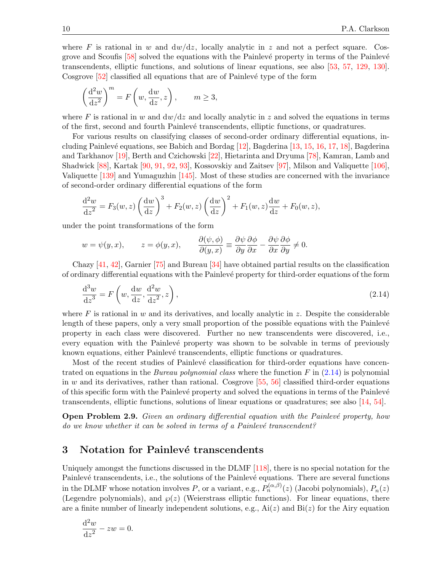where F is rational in w and  $dw/dz$ , locally analytic in z and not a perfect square. Cosgrove and Scoufis  $[58]$  solved the equations with the Painlevé property in terms of the Painlevé transcendents, elliptic functions, and solutions of linear equations, see also [\[53,](#page-15-9) [57,](#page-16-7) [129,](#page-18-12) [130\]](#page-18-13). Cosgrove  $[52]$  classified all equations that are of Painlevé type of the form

$$
\left(\frac{\mathrm{d}^2 w}{\mathrm{d}z^2}\right)^m = F\left(w, \frac{\mathrm{d}w}{\mathrm{d}z}, z\right), \qquad m \ge 3,
$$

where F is rational in w and  $dw/dz$  and locally analytic in z and solved the equations in terms of the first, second and fourth Painlev´e transcendents, elliptic functions, or quadratures.

For various results on classifying classes of second-order ordinary differential equations, including Painlevé equations, see Babich and Bordag  $[12]$ , Bagderina  $[13, 15, 16, 17, 18]$  $[13, 15, 16, 17, 18]$  $[13, 15, 16, 17, 18]$  $[13, 15, 16, 17, 18]$  $[13, 15, 16, 17, 18]$  $[13, 15, 16, 17, 18]$  $[13, 15, 16, 17, 18]$  $[13, 15, 16, 17, 18]$ , Bagderina and Tarkhanov [\[19\]](#page-14-7), Berth and Czichowski [\[22\]](#page-14-8), Hietarinta and Dryuma [\[78\]](#page-16-8), Kamran, Lamb and Shadwick [\[88\]](#page-17-12), Kartak [\[90,](#page-17-13) [91,](#page-17-14) [92,](#page-17-15) [93\]](#page-17-16), Kossovskiy and Zaitsev [\[97\]](#page-17-17), Milson and Valiquette [\[106\]](#page-18-14), Valiquette [\[139\]](#page-19-7) and Yumaguzhin [\[145\]](#page-19-8). Most of these studies are concerned with the invariance of second-order ordinary differential equations of the form

<span id="page-10-0"></span>
$$
\frac{\mathrm{d}^2 w}{\mathrm{d}z^2} = F_3(w, z) \left(\frac{\mathrm{d}w}{\mathrm{d}z}\right)^3 + F_2(w, z) \left(\frac{\mathrm{d}w}{\mathrm{d}z}\right)^2 + F_1(w, z) \frac{\mathrm{d}w}{\mathrm{d}z} + F_0(w, z),
$$

under the point transformations of the form

$$
w = \psi(y, x),
$$
  $z = \phi(y, x),$   $\frac{\partial(\psi, \phi)}{\partial(y, x)} \equiv \frac{\partial \psi}{\partial y} \frac{\partial \phi}{\partial x} - \frac{\partial \psi}{\partial x} \frac{\partial \phi}{\partial y} \neq 0.$ 

Chazy [\[41,](#page-15-11) [42\]](#page-15-12), Garnier [\[75\]](#page-16-9) and Bureau [\[34\]](#page-15-13) have obtained partial results on the classification of ordinary differential equations with the Painlev´e property for third-order equations of the form

<span id="page-10-1"></span>
$$
\frac{\mathrm{d}^3 w}{\mathrm{d}z^3} = F\left(w, \frac{\mathrm{d}w}{\mathrm{d}z}, \frac{\mathrm{d}^2 w}{\mathrm{d}z^2}, z\right),\tag{2.14}
$$

where F is rational in w and its derivatives, and locally analytic in z. Despite the considerable length of these papers, only a very small proportion of the possible equations with the Painlevé property in each class were discovered. Further no new transcendents were discovered, i.e., every equation with the Painlevé property was shown to be solvable in terms of previously known equations, either Painlevé transcendents, elliptic functions or quadratures.

Most of the recent studies of Painlevé classification for third-order equations have concentrated on equations in the *Bureau polynomial class* where the function  $F$  in  $(2.14)$  is polynomial in w and its derivatives, rather than rational. Cosgrove  $[55, 56]$  $[55, 56]$  classified third-order equations of this specific form with the Painlevé property and solved the equations in terms of the Painlevé transcendents, elliptic functions, solutions of linear equations or quadratures; see also [\[14,](#page-14-9) [54\]](#page-15-14).

<span id="page-10-3"></span>**Open Problem 2.9.** Given an ordinary differential equation with the Painlevé property, how do we know whether it can be solved in terms of a Painlevé transcendent?

#### 3 Notation for Painlevé transcendents

Uniquely amongst the functions discussed in the DLMF [\[118\]](#page-18-0), there is no special notation for the Painlevé transcendents, i.e., the solutions of the Painlevé equations. There are several functions in the DLMF whose notation involves P, or a variant, e.g.,  $P_n^{(\alpha,\beta)}(z)$  (Jacobi polynomials),  $P_n(z)$ (Legendre polynomials), and  $\wp(z)$  (Weierstrass elliptic functions). For linear equations, there are a finite number of linearly independent solutions, e.g.,  $Ai(z)$  and  $Bi(z)$  for the Airy equation

<span id="page-10-2"></span>
$$
\frac{\mathrm{d}^2 w}{\mathrm{d}z^2} - zw = 0.
$$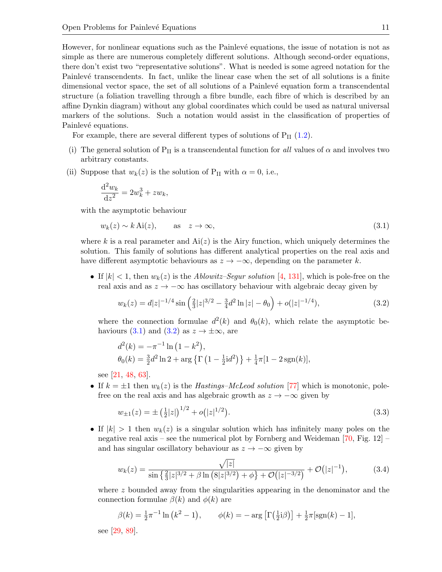However, for nonlinear equations such as the Painlevé equations, the issue of notation is not as simple as there are numerous completely different solutions. Although second-order equations, there don't exist two "representative solutions". What is needed is some agreed notation for the Painlevé transcendents. In fact, unlike the linear case when the set of all solutions is a finite dimensional vector space, the set of all solutions of a Painlevé equation form a transcendental structure (a foliation travelling through a fibre bundle, each fibre of which is described by an affine Dynkin diagram) without any global coordinates which could be used as natural universal markers of the solutions. Such a notation would assist in the classification of properties of Painlevé equations.

For example, there are several different types of solutions of  $P_{II}$  [\(1.2\)](#page-0-2).

- (i) The general solution of  $P_{II}$  is a transcendental function for all values of  $\alpha$  and involves two arbitrary constants.
- (ii) Suppose that  $w_k(z)$  is the solution of P<sub>II</sub> with  $\alpha = 0$ , i.e.,

$$
\frac{\mathrm{d}^2 w_k}{\mathrm{d}z^2} = 2w_k^3 + zw_k,
$$

with the asymptotic behaviour

$$
w_k(z) \sim k \operatorname{Ai}(z), \qquad \text{as} \quad z \to \infty,
$$
\n(3.1)

where k is a real parameter and  $Ai(z)$  is the Airy function, which uniquely determines the solution. This family of solutions has different analytical properties on the real axis and have different asymptotic behaviours as  $z \to -\infty$ , depending on the parameter k.

• If  $|k| < 1$ , then  $w_k(z)$  is the *Ablowitz–Segur solution* [\[4,](#page-14-10) [131\]](#page-19-9), which is pole-free on the real axis and as  $z \to -\infty$  has oscillatory behaviour with algebraic decay given by

$$
w_k(z) = d|z|^{-1/4} \sin\left(\frac{2}{3}|z|^{3/2} - \frac{3}{4}d^2\ln|z| - \theta_0\right) + o(|z|^{-1/4}),\tag{3.2}
$$

where the connection formulae  $d^2(k)$  and  $\theta_0(k)$ , which relate the asymptotic be-haviours [\(3.1\)](#page-10-0) and [\(3.2\)](#page-10-1) as  $z \to \pm \infty$ , are

$$
d^{2}(k) = -\pi^{-1} \ln(1 - k^{2}),
$$
  
\n
$$
\theta_{0}(k) = \frac{3}{2}d^{2} \ln 2 + \arg \{ \Gamma \left( 1 - \frac{1}{2} \mathrm{i} d^{2} \right) \} + \frac{1}{4} \pi [1 - 2 \operatorname{sgn}(k)],
$$

see [\[21,](#page-14-11) [48,](#page-15-15) [63\]](#page-16-12).

• If  $k = \pm 1$  then  $w_k(z)$  is the Hastings–McLeod solution [\[77\]](#page-16-13) which is monotonic, polefree on the real axis and has algebraic growth as  $z \to -\infty$  given by

$$
w_{\pm 1}(z) = \pm \left(\frac{1}{2}|z|\right)^{1/2} + o\left(|z|^{1/2}\right). \tag{3.3}
$$

• If  $|k| > 1$  then  $w_k(z)$  is a singular solution which has infinitely many poles on the negative real axis – see the numerical plot by Fornberg and Weideman  $[70, Fig. 12]$  – and has singular oscillatory behaviour as  $z \to -\infty$  given by

$$
w_k(z) = \frac{\sqrt{|z|}}{\sin\left(\frac{2}{3}|z|^{3/2} + \beta \ln\left(8|z|^{3/2}\right) + \phi\right) + \mathcal{O}\left(|z|^{-3/2}\right)} + \mathcal{O}\left(|z|^{-1}\right),\tag{3.4}
$$

where z bounded away from the singularities appearing in the denominator and the connection formulae  $\beta(k)$  and  $\phi(k)$  are

$$
\beta(k) = \frac{1}{2}\pi^{-1}\ln\left(k^2 - 1\right), \qquad \phi(k) = -\arg\left[\Gamma\left(\frac{1}{2}i\beta\right)\right] + \frac{1}{2}\pi\left[\text{sgn}(k) - 1\right],
$$

see [\[29,](#page-14-12) [89\]](#page-17-18).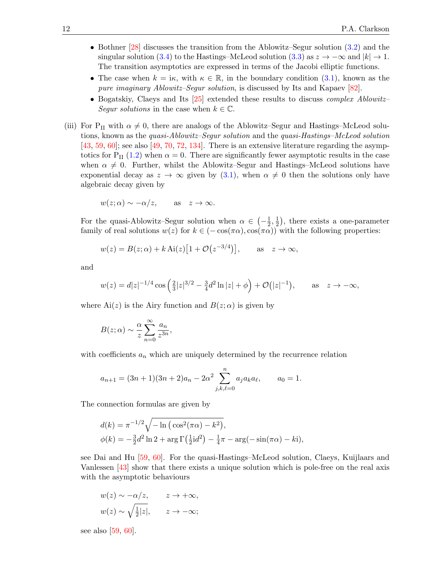- Bothner [\[28\]](#page-14-13) discusses the transition from the Ablowitz–Segur solution [\(3.2\)](#page-10-1) and the singular solution [\(3.4\)](#page-10-2) to the Hastings–McLeod solution [\(3.3\)](#page-10-3) as  $z \to -\infty$  and  $|k| \to 1$ . The transition asymptotics are expressed in terms of the Jacobi elliptic functions.
- The case when  $k = i\kappa$ , with  $\kappa \in \mathbb{R}$ , in the boundary condition [\(3.1\)](#page-10-0), known as the pure imaginary Ablowitz–Segur solution, is discussed by Its and Kapaev [\[82\]](#page-17-19).
- Bogatskiy, Claeys and Its [\[25\]](#page-14-14) extended these results to discuss *complex Ablowitz* Segur solutions in the case when  $k \in \mathbb{C}$ .
- (iii) For P<sub>II</sub> with  $\alpha \neq 0$ , there are analogs of the Ablowitz–Segur and Hastings–McLeod solutions, known as the quasi-Ablowitz–Segur solution and the quasi-Hastings–McLeod solution  $[43, 59, 60]$  $[43, 59, 60]$  $[43, 59, 60]$  $[43, 59, 60]$  $[43, 59, 60]$ ; see also  $[49, 70, 72, 134]$  $[49, 70, 72, 134]$  $[49, 70, 72, 134]$  $[49, 70, 72, 134]$  $[49, 70, 72, 134]$  $[49, 70, 72, 134]$ . There is an extensive literature regarding the asymp-totics for P<sub>II</sub> [\(1.2\)](#page-0-2) when  $\alpha = 0$ . There are significantly fewer asymptotic results in the case when  $\alpha \neq 0$ . Further, whilst the Ablowitz–Segur and Hastings–McLeod solutions have exponential decay as  $z \to \infty$  given by [\(3.1\)](#page-10-0), when  $\alpha \neq 0$  then the solutions only have algebraic decay given by

$$
w(z; \alpha) \sim -\alpha/z
$$
, as  $z \to \infty$ .

For the quasi-Ablowitz–Segur solution when  $\alpha \in \left(-\frac{1}{2}\right)$  $\frac{1}{2}, \frac{1}{2}$  $(\frac{1}{2})$ , there exists a one-parameter family of real solutions  $w(z)$  for  $k \in (-\cos(\pi \alpha), \cos(\pi \alpha))$  with the following properties:

$$
w(z) = B(z; \alpha) + k \operatorname{Ai}(z) [1 + \mathcal{O}(z^{-3/4})],
$$
 as  $z \to \infty$ ,

and

$$
w(z) = d|z|^{-1/4} \cos\left(\frac{2}{3}|z|^{3/2} - \frac{3}{4}d^2\ln|z| + \phi\right) + \mathcal{O}(|z|^{-1}), \quad \text{as} \quad z \to -\infty,
$$

where  $Ai(z)$  is the Airy function and  $B(z; \alpha)$  is given by

$$
B(z; \alpha) \sim \frac{\alpha}{z} \sum_{n=0}^{\infty} \frac{a_n}{z^{3n}},
$$

with coefficients  $a_n$  which are uniquely determined by the recurrence relation

$$
a_{n+1} = (3n+1)(3n+2)a_n - 2\alpha^2 \sum_{j,k,\ell=0}^n a_j a_k a_\ell, \qquad a_0 = 1.
$$

The connection formulas are given by

$$
d(k) = \pi^{-1/2} \sqrt{-\ln(\cos^2(\pi \alpha) - k^2)},
$$
  
 
$$
\phi(k) = -\frac{3}{2}d^2 \ln 2 + \arg \Gamma(\frac{1}{2}id^2) - \frac{1}{4}\pi - \arg(-\sin(\pi \alpha) - k i),
$$

see Dai and Hu [\[59,](#page-16-15) [60\]](#page-16-16). For the quasi-Hastings–McLeod solution, Claeys, Kuijlaars and Vanlessen [\[43\]](#page-15-16) show that there exists a unique solution which is pole-free on the real axis with the asymptotic behaviours

$$
w(z) \sim -\alpha/z, \qquad z \to +\infty,
$$
  

$$
w(z) \sim \sqrt{\frac{1}{2}|z|}, \qquad z \to -\infty;
$$

see also [\[59,](#page-16-15) [60\]](#page-16-16).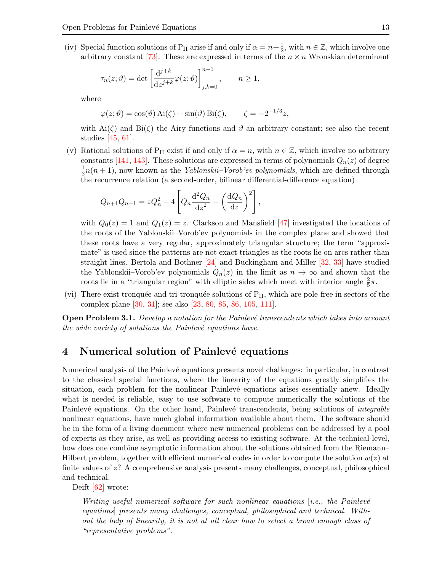(iv) Special function solutions of P<sub>II</sub> arise if and only if  $\alpha = n + \frac{1}{2}$  $\frac{1}{2}$ , with  $n \in \mathbb{Z}$ , which involve one arbitrary constant [\[73\]](#page-16-18). These are expressed in terms of the  $n \times n$  Wronskian determinant

$$
\tau_n(z;\vartheta)=\det\left[\frac{\mathrm{d}^{j+k}}{\mathrm{d}z^{j+k}}\varphi(z;\vartheta)\right]_{j,k=0}^{n-1},\qquad n\ge 1,
$$

where

$$
\varphi(z;\vartheta) = \cos(\vartheta) \operatorname{Ai}(\zeta) + \sin(\vartheta) \operatorname{Bi}(\zeta), \qquad \zeta = -2^{-1/3}z,
$$

with  $\text{Ai}(\zeta)$  and  $\text{Bi}(\zeta)$  the Airy functions and  $\vartheta$  an arbitrary constant; see also the recent studies [\[45,](#page-15-18) [61\]](#page-16-19).

(v) Rational solutions of P<sub>II</sub> exist if and only if  $\alpha = n$ , with  $n \in \mathbb{Z}$ , which involve no arbitrary constants [\[141,](#page-19-11) [143\]](#page-19-12). These solutions are expressed in terms of polynomials  $Q_n(z)$  of degree 1  $\frac{1}{2}n(n+1)$ , now known as the *Yablonskii–Vorob'ev polynomials*, which are defined through the recurrence relation (a second-order, bilinear differential-difference equation)

$$
Q_{n+1}Q_{n-1} = zQ_n^2 - 4\left[Q_n\frac{\mathrm{d}^2Q_n}{\mathrm{d}z^2} - \left(\frac{\mathrm{d}Q_n}{\mathrm{d}z}\right)^2\right],
$$

with  $Q_0(z) = 1$  and  $Q_1(z) = z$ . Clarkson and Mansfield [\[47\]](#page-15-19) investigated the locations of the roots of the Yablonskii–Vorob'ev polynomials in the complex plane and showed that these roots have a very regular, approximately triangular structure; the term "approximate" is used since the patterns are not exact triangles as the roots lie on arcs rather than straight lines. Bertola and Bothner [\[24\]](#page-14-15) and Buckingham and Miller [\[32,](#page-15-20) [33\]](#page-15-21) have studied the Yablonskii–Vorob'ev polynomials  $Q_n(z)$  in the limit as  $n \to \infty$  and shown that the roots lie in a "triangular region" with elliptic sides which meet with interior angle  $\frac{2}{5}\pi$ .

(vi) There exist tronquée and tri-tronquée solutions of  $P_{II}$ , which are pole-free in sectors of the complex plane [\[30,](#page-15-22) [31\]](#page-15-23); see also [\[23,](#page-14-16) [80,](#page-17-20) [85,](#page-17-21) [86,](#page-17-22) [105,](#page-17-23) [111\]](#page-18-15).

**Open Problem 3.1.** Develop a notation for the Painlevé transcendents which takes into account the wide variety of solutions the Painlevé equations have.

### 4 Numerical solution of Painlevé equations

Numerical analysis of the Painlevé equations presents novel challenges: in particular, in contrast to the classical special functions, where the linearity of the equations greatly simplifies the situation, each problem for the nonlinear Painlevé equations arises essentially anew. Ideally what is needed is reliable, easy to use software to compute numerically the solutions of the Painlevé equations. On the other hand, Painlevé transcendents, being solutions of *integrable* nonlinear equations, have much global information available about them. The software should be in the form of a living document where new numerical problems can be addressed by a pool of experts as they arise, as well as providing access to existing software. At the technical level, how does one combine asymptotic information about the solutions obtained from the Riemann– Hilbert problem, together with efficient numerical codes in order to compute the solution  $w(z)$  at finite values of  $z$ ? A comprehensive analysis presents many challenges, conceptual, philosophical and technical.

<span id="page-13-2"></span><span id="page-13-0"></span>Deift [\[62\]](#page-16-20) wrote:

<span id="page-13-1"></span>Writing useful numerical software for such nonlinear equations  $[i.e., the Painlevé$ equations] presents many challenges, conceptual, philosophical and technical. Without the help of linearity, it is not at all clear how to select a broad enough class of "representative problems".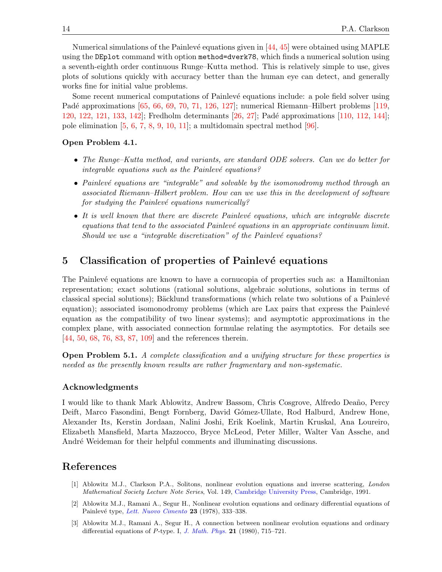<span id="page-14-19"></span><span id="page-14-10"></span>Numerical simulations of the Painlevé equations given in  $[44, 45]$  $[44, 45]$  were obtained using MAPLE using the DEplot command with option method=dverk78, which finds a numerical solution using a seventh-eighth order continuous Runge–Kutta method. This is relatively simple to use, gives plots of solutions quickly with accuracy better than the human eye can detect, and generally works fine for initial value problems.

<span id="page-14-22"></span><span id="page-14-21"></span><span id="page-14-20"></span>Some recent numerical computations of Painlevé equations include: a pole field solver using Padé approximations [\[65,](#page-16-21) [66,](#page-16-22) [69,](#page-16-23) [70,](#page-16-14) [71,](#page-16-24) [126,](#page-18-16) [127\]](#page-18-17); numerical Riemann–Hilbert problems [\[119,](#page-18-18) [120,](#page-18-19) [122,](#page-18-20) [121,](#page-18-21) [133,](#page-19-13) [142\]](#page-19-14); Fredholm determinants [\[26,](#page-14-17) [27\]](#page-14-18); Pad´e approximations [\[110,](#page-18-22) [112,](#page-18-23) [144\]](#page-19-15); pole elimination  $[5, 6, 7, 8, 9, 10, 11]$  $[5, 6, 7, 8, 9, 10, 11]$  $[5, 6, 7, 8, 9, 10, 11]$  $[5, 6, 7, 8, 9, 10, 11]$  $[5, 6, 7, 8, 9, 10, 11]$  $[5, 6, 7, 8, 9, 10, 11]$  $[5, 6, 7, 8, 9, 10, 11]$  $[5, 6, 7, 8, 9, 10, 11]$  $[5, 6, 7, 8, 9, 10, 11]$  $[5, 6, 7, 8, 9, 10, 11]$  $[5, 6, 7, 8, 9, 10, 11]$  $[5, 6, 7, 8, 9, 10, 11]$ ; a multidomain spectral method  $[96]$ .

#### <span id="page-14-23"></span>Open Problem 4.1.

- <span id="page-14-24"></span>• The Runge–Kutta method, and variants, are standard ODE solvers. Can we do better for integrable equations such as the Painlevé equations?
- <span id="page-14-25"></span><span id="page-14-1"></span>• Painlevé equations are "integrable" and solvable by the isomonodromy method through an associated Riemann–Hilbert problem. How can we use this in the development of software for studying the Painlevé equations numerically?
- <span id="page-14-9"></span><span id="page-14-2"></span> $\bullet$  It is well known that there are discrete Painlevé equations, which are integrable discrete  $equations that tend to the associated Painlevé equations in an appropriate continuum limit.$ Should we use a "integrable discretization" of the Painlevé equations?

### <span id="page-14-3"></span>5 Classification of properties of Painlevé equations

<span id="page-14-6"></span><span id="page-14-5"></span><span id="page-14-4"></span>The Painlevé equations are known to have a cornucopia of properties such as: a Hamiltonian representation; exact solutions (rational solutions, algebraic solutions, solutions in terms of classical special solutions); Bäcklund transformations (which relate two solutions of a Painlevé equation); associated isomonodromy problems (which are Lax pairs that express the Painlevé equation as the compatibility of two linear systems); and asymptotic approximations in the complex plane, with associated connection formulae relating the asymptotics. For details see [\[44,](#page-15-0) [50,](#page-15-24) [68,](#page-16-0) [76,](#page-16-1) [83,](#page-17-0) [87,](#page-17-25) [109\]](#page-18-24) and the references therein.

<span id="page-14-11"></span><span id="page-14-7"></span><span id="page-14-0"></span>Open Problem 5.1. A complete classification and a unifying structure for these properties is needed as the presently known results are rather fragmentary and non-systematic.

#### <span id="page-14-8"></span>Acknowledgments

<span id="page-14-16"></span><span id="page-14-15"></span>I would like to thank Mark Ablowitz, Andrew Bassom, Chris Cosgrove, Alfredo Dea˜no, Percy Deift, Marco Fasondini, Bengt Fornberg, David Gómez-Ullate, Rod Halburd, Andrew Hone, Alexander Its, Kerstin Jordaan, Nalini Joshi, Erik Koelink, Martin Kruskal, Ana Loureiro, Elizabeth Mansfield, Marta Mazzocco, Bryce McLeod, Peter Miller, Walter Van Assche, and André Weideman for their helpful comments and illuminating discussions.

#### <span id="page-14-17"></span><span id="page-14-14"></span>References

- <span id="page-14-18"></span>[1] Ablowitz M.J., Clarkson P.A., Solitons, nonlinear evolution equations and inverse scattering, London Mathematical Society Lecture Note Series, Vol. 149, [Cambridge University Press,](https://doi.org/10.1017/CBO9780511623998) Cambridge, 1991.
- <span id="page-14-13"></span>[2] Ablowitz M.J., Ramani A., Segur H., Nonlinear evolution equations and ordinary differential equations of Painlevé type, [Lett. Nuovo Cimento](https://doi.org/10.1007/BF02824479) 23 (1978), 333-338.
- <span id="page-14-12"></span>[3] Ablowitz M.J., Ramani A., Segur H., A connection between nonlinear evolution equations and ordinary differential equations of P-type. I, [J. Math. Phys.](https://doi.org/10.1063/1.524491) 21 (1980), 715–721.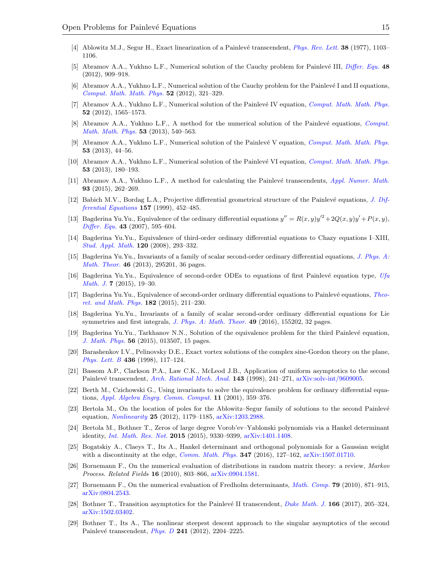- <span id="page-15-22"></span>[4] Ablowitz M.J., Segur H., Exact linearization of a Painlevé transcendent, *[Phys. Rev. Lett.](https://doi.org/10.1103/PhysRevLett.38.1103)* **38** (1977), 1103– 1106.
- <span id="page-15-23"></span>[5] Abramov A.A., Yukhno L.F., Numerical solution of the Cauchy problem for Painlevé III, *[Differ. Equ.](https://doi.org/10.1134/S0012266112070026)* 48 (2012), 909–918.
- <span id="page-15-20"></span>[6] Abramov A.A., Yukhno L.F., Numerical solution of the Cauchy problem for the Painlevé I and II equations, [Comput. Math. Math. Phys.](https://doi.org/10.1134/S0965542512030025) 52 (2012), 321–329.
- <span id="page-15-21"></span>[7] Abramov A.A., Yukhno L.F., Numerical solution of the Painlevé IV equation, *[Comput. Math. Math. Phys.](https://doi.org/10.1134/S0965542512110036)* 52 (2012), 1565–1573.
- <span id="page-15-13"></span><span id="page-15-6"></span>[8] Abramov A.A., Yukhno L.F., A method for the numerical solution of the Painlevé equations, [Comput.](https://doi.org/10.1134/S0965542513050023) [Math. Math. Phys.](https://doi.org/10.1134/S0965542513050023) 53 (2013), 540–563.
- [9] Abramov A.A., Yukhno L.F., Numerical solution of the Painlevé V equation, [Comput. Math. Math. Phys.](https://doi.org/10.1134/S0965542513010028) 53 (2013), 44–56.
- <span id="page-15-7"></span><span id="page-15-2"></span>[10] Abramov A.A., Yukhno L.F., Numerical solution of the Painlevé VI equation, [Comput. Math. Math. Phys.](https://doi.org/10.1134/S0965542513020024) 53 (2013), 180–193.
- <span id="page-15-3"></span>[11] Abramov A.A., Yukhno L.F., A method for calculating the Painlevé transcendents, [Appl. Numer. Math.](https://doi.org/10.1016/j.apnum.2014.05.002) 93 (2015), 262–269.
- [12] Babich M.V., Bordag L.A., Projective differential geometrical structure of the Painlevé equations, [J. Dif](https://doi.org/10.1006/jdeq.1999.3628)[ferential Equations](https://doi.org/10.1006/jdeq.1999.3628) 157 (1999), 452–485.
- <span id="page-15-4"></span>[13] Bagderina Yu.Yu., Equivalence of the ordinary differential equations  $y'' = R(x, y)y'^2 + 2Q(x, y)y' + P(x, y)$ , [Differ. Equ.](https://doi.org/10.1134/S0012266107050035) 43  $(2007)$ , 595–604.
- <span id="page-15-8"></span>[14] Bagderina Yu.Yu., Equivalence of third-order ordinary differential equations to Chazy equations I–XIII, [Stud. Appl. Math.](https://doi.org/10.1111/j.1467-9590.2008.00400.x) 120 (2008), 293–332.
- <span id="page-15-11"></span>[15] Bagderina Yu.Yu., Invariants of a family of scalar second-order ordinary differential equations, [J. Phys. A:](https://doi.org/10.1088/1751-8113/46/29/295201) [Math. Theor.](https://doi.org/10.1088/1751-8113/46/29/295201) 46 (2013), 295201, 36 pages.
- <span id="page-15-12"></span>[16] Bagderina Yu.Yu., Equivalence of second-order ODEs to equations of first Painlevé equation type,  $Ufa$ *[Math. J.](https://doi.org/10.13108/2015-7-1-19)* **7** (2015), 19–30.
- <span id="page-15-16"></span>[17] Bagderina Yu.Yu., Equivalence of second-order ordinary differential equations to Painlevé equations, [Theo](https://doi.org/10.4213/tmf8657)[ret. and Math. Phys.](https://doi.org/10.4213/tmf8657)  $182$  (2015), 211–230.
- <span id="page-15-0"></span>[18] Bagderina Yu.Yu., Invariants of a family of scalar second-order ordinary differential equations for Lie symmetries and first integrals, [J. Phys. A: Math. Theor.](https://doi.org/10.1088/1751-8113/49/15/155202) **49** (2016), 155202, 32 pages.
- <span id="page-15-18"></span>[19] Bagderina Yu.Yu., Tarkhanov N.N., Solution of the equivalence problem for the third Painlevé equation. [J. Math. Phys.](https://doi.org/10.1063/1.4905383) 56 (2015), 013507, 15 pages.
- <span id="page-15-5"></span>[20] Barashenkov I.V., Pelinovsky D.E., Exact vortex solutions of the complex sine-Gordon theory on the plane, [Phys. Lett. B](https://doi.org/10.1016/S0370-2693(98)00841-7) 436 (1998), 117–124.
- [21] Bassom A.P., Clarkson P.A., Law C.K., McLeod J.B., Application of uniform asymptotics to the second Painlevé transcendent, [Arch. Rational Mech. Anal.](https://doi.org/10.1007/s002050050105) 143 (1998), 241–271, [arXiv:solv-int/9609005.](https://arxiv.org/abs/solv-int/9609005)
- <span id="page-15-19"></span>[22] Berth M., Czichowski G., Using invariants to solve the equivalence problem for ordinary differential equations, [Appl. Algebra Engrg. Comm. Comput.](https://doi.org/10.1007/s002000000050) 11 (2001), 359–376.
- <span id="page-15-15"></span>[23] Bertola M., On the location of poles for the Ablowitz–Segur family of solutions to the second Painlevé equation, [Nonlinearity](https://doi.org/10.1088/0951-7715/25/4/1179) 25 (2012), 1179–1185, [arXiv:1203.2988.](https://arxiv.org/abs/1203.2988)
- <span id="page-15-17"></span>[24] Bertola M., Bothner T., Zeros of large degree Vorob'ev–Yablonski polynomials via a Hankel determinant identity, [Int. Math. Res. Not.](https://doi.org/10.1093/imrn/rnu239) 2015 (2015), 9330–9399, [arXiv:1401.1408.](https://arxiv.org/abs/1401.1408)
- <span id="page-15-24"></span>[25] Bogatskiy A., Claeys T., Its A., Hankel determinant and orthogonal polynomials for a Gaussian weight with a discontinuity at the edge, *[Comm. Math. Phys.](https://doi.org/10.1007/s00220-016-2691-y)* **347** (2016),  $127-162$ ,  $arXiv:1507.01710$ .
- <span id="page-15-1"></span>[26] Bornemann F., On the numerical evaluation of distributions in random matrix theory: a review, Markov Process. Related Fields 16 (2010), 803–866, [arXiv:0904.1581.](https://arxiv.org/abs/0904.1581)
- <span id="page-15-10"></span>[27] Bornemann F., On the numerical evaluation of Fredholm determinants, *[Math. Comp.](https://doi.org/10.1090/S0025-5718-09-02280-7)* **79** (2010), 871–915, [arXiv:0804.2543.](https://arxiv.org/abs/0804.2543)
- <span id="page-15-9"></span>[28] Bothner T., Transition asymptotics for the Painlevé II transcendent, [Duke Math. J.](https://doi.org/10.1215/00127094-3714650)  $166$  (2017), 205–324, [arXiv:1502.03402.](https://arxiv.org/abs/1502.03402)
- <span id="page-15-14"></span>[29] Bothner T., Its A., The nonlinear steepest descent approach to the singular asymptotics of the second Painlevé transcendent, *[Phys. D](https://doi.org/10.1016/j.physd.2012.02.014)* 241 (2012), 2204–2225.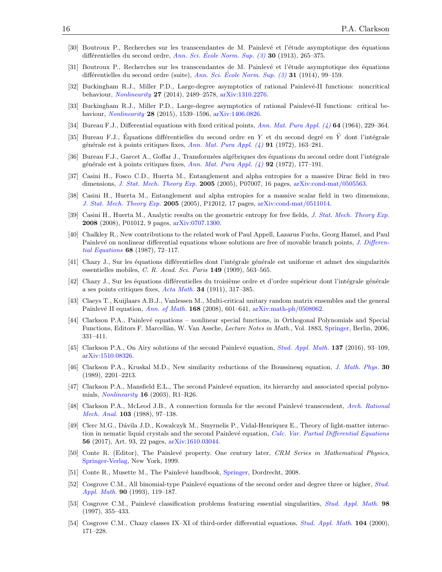- <span id="page-16-10"></span>[30] Boutroux P., Recherches sur les transcendantes de M. Painlevé et l'étude asymptotique des équations différentielles du second ordre, Ann. Sci. École Norm. Sup.  $(3)$  30 (1913), 265–375.
- <span id="page-16-11"></span>[31] Boutroux P., Recherches sur les transcendantes de M. Painlevé et l'étude asymptotique des équations différentielles du second ordre (suite), Ann. Sci. École Norm. Sup.  $(3)$  31 (1914), 99–159.
- <span id="page-16-7"></span><span id="page-16-6"></span>[32] Buckingham R.J., Miller P.D., Large-degree asymptotics of rational Painlevé-II functions: noncritical behaviour, [Nonlinearity](https://doi.org/10.1088/0951-7715/27/10/2489) 27 (2014), 2489–2578, [arXiv:1310.2276.](https://arxiv.org/abs/1310.2276)
- <span id="page-16-15"></span>[33] Buckingham R.J., Miller P.D., Large-degree asymptotics of rational Painlevé-II functions: critical behaviour, *[Nonlinearity](https://doi.org/10.1088/0951-7715/28/6/1539)* 28 (2015), 1539-1596, [arXiv:1406.0826.](https://arxiv.org/abs/1406.0826)
- [34] Bureau F.J., Differential equations with fixed critical points, [Ann. Mat. Pura Appl. \(4\)](https://doi.org/10.1007/BF02410054) 64 (1964), 229-364.
- <span id="page-16-16"></span>[35] Bureau F.J., Équations différentielles du second ordre en Y et du second degré en Y dont l'intégrale générale est à points critiques fixes, Ann. Mat. Pura Appl.  $(4)$  91 (1972), 163–281.
- <span id="page-16-19"></span>[36] Bureau F.J., Garcet A., Goffar J., Transformées algébriques des équations du second ordre dont l'intégrale générale est à points critiques fixes, Ann. Mat. Pura Appl.  $(4)$  92 (1972), 177–191.
- <span id="page-16-20"></span>[37] Casini H., Fosco C.D., Huerta M., Entanglement and alpha entropies for a massive Dirac field in two dimensions, *[J. Stat. Mech. Theory Exp.](https://doi.org/10.1088/1742-5468/2005/12/P07007)* **2005** (2005), P07007, 16 pages, [arXiv:cond-mat/0505563.](https://arxiv.org/abs/cond-mat/0505563)
- <span id="page-16-12"></span>[38] Casini H., Huerta M., Entanglement and alpha entropies for a massive scalar field in two dimensions, [J. Stat. Mech. Theory Exp.](https://doi.org/10.1088/1742-5468/2005/12/P12012) 2005 (2005), P12012, 17 pages, [arXiv:cond-mat/0511014.](https://arxiv.org/abs/cond-mat/0511014)
- <span id="page-16-3"></span>[39] Casini H., Huerta M., Analytic results on the geometric entropy for free fields, [J. Stat. Mech. Theory Exp.](https://doi.org/10.1088/1742-5468/2008/01/P01012) 2008 (2008), P01012, 9 pages, [arXiv:0707.1300.](https://arxiv.org/abs/0707.1300)
- <span id="page-16-21"></span>[40] Chalkley R., New contributions to the related work of Paul Appell, Lazarus Fuchs, Georg Hamel, and Paul Painlevé on nonlinear differential equations whose solutions are free of movable branch points, [J. Differen](https://doi.org/10.1016/0022-0396(87)90187-2)[tial Equations](https://doi.org/10.1016/0022-0396(87)90187-2) 68 (1987), 72–117.
- <span id="page-16-22"></span>[41] Chazy J., Sur les équations différentielles dont l'intégrale générale est uniforme et admet des singularités essentielles mobiles, C. R. Acad. Sci. Paris  $149$  (1909), 563-565.
- <span id="page-16-2"></span>[42] Chazy J., Sur les équations différentielles du troisième ordre et d'ordre supérieur dont l'intégrale générale a ses points critiques fixes,  $Acta Math. 34 (1911), 317-385.$  $Acta Math. 34 (1911), 317-385.$
- <span id="page-16-0"></span>[43] Claeys T., Kuijlaars A.B.J., Vanlessen M., Multi-critical unitary random matrix ensembles and the general Painlevé II equation, [Ann. of Math.](https://doi.org/10.4007/annals.2008.168.601) 168 (2008), 601–641,  $arXiv:math-h/0508062$ .
- <span id="page-16-23"></span>[44] Clarkson P.A., Painlevé equations – nonlinear special functions, in Orthogonal Polynomials and Special Functions, Editors F. Marcellàn, W. Van Assche, Lecture Notes in Math., Vol. 1883, [Springer,](https://doi.org/10.1007/978-3-540-36716-1_7) Berlin, 2006, 331–411.
- <span id="page-16-24"></span><span id="page-16-14"></span>[45] Clarkson P.A., On Airy solutions of the second Painlevé equation, *[Stud. Appl. Math.](https://doi.org/10.1111/sapm.12123)* **137** (2016), 93–109, [arXiv:1510.08326.](https://arxiv.org/abs/1510.08326)
- <span id="page-16-17"></span>[46] Clarkson P.A., Kruskal M.D., New similarity reductions of the Boussinesq equation, [J. Math. Phys.](https://doi.org/10.1063/1.528613) 30 (1989), 2201–2213.
- <span id="page-16-18"></span>[47] Clarkson P.A., Mansfield E.L., The second Painlevé equation, its hierarchy and associated special polynomials, *[Nonlinearity](https://doi.org/10.1088/0951-7715/16/3/201)* **16** (2003), R1–R26.
- <span id="page-16-4"></span>[48] Clarkson P.A., McLeod J.B., A connection formula for the second Painlevé transcendent, [Arch. Rational](https://doi.org/10.1007/BF00251504) [Mech. Anal.](https://doi.org/10.1007/BF00251504) 103 (1988), 97–138.
- <span id="page-16-9"></span>[49] Clerc M.G., D´avila J.D., Kowalczyk M., Smyrnelis P., Vidal-Henriquez E., Theory of light-matter interac-tion in nematic liquid crystals and the second Painlevé equation, [Calc. Var. Partial Differential Equations](https://doi.org/10.1007/s00526-017-1187-8) 56 (2017), Art. 93, 22 pages, [arXiv:1610.03044.](https://arxiv.org/abs/1610.03044)
- <span id="page-16-1"></span>[50] Conte R. (Editor), The Painlevé property. One century later, CRM Series in Mathematical Physics, [Springer-Verlag,](https://doi.org/10.1007/978-1-4612-1532-5) New York, 1999.
- [51] Conte R., Musette M., The Painlevé handbook, [Springer,](https://doi.org/10.1007/978-1-4020-8491-1) Dordrecht, 2008.
- <span id="page-16-13"></span>[52] Cosgrove C.M., All binomial-type Painlevé equations of the second order and degree three or higher, [Stud.](https://doi.org/10.1002/sapm1993902119) [Appl. Math.](https://doi.org/10.1002/sapm1993902119) 90 (1993), 119–187.
- <span id="page-16-8"></span>[53] Cosgrove C.M., Painlevé classification problems featuring essential singularities, [Stud. Appl. Math.](https://doi.org/10.1111/1467-9590.00053) 98 (1997), 355–433.
- <span id="page-16-5"></span>[54] Cosgrove C.M., Chazy classes IX–XI of third-order differential equations, [Stud. Appl. Math.](https://doi.org/10.1111/1467-9590.00134) 104 (2000), 171–228.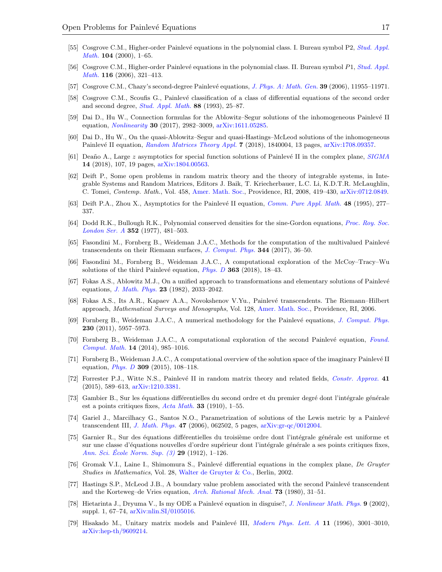- <span id="page-17-20"></span>[55] Cosgrove C.M., Higher-order Painlevé equations in the polynomial class. I. Bureau symbol P2, [Stud. Appl.](https://doi.org/10.1111/1467-9590.00130) [Math.](https://doi.org/10.1111/1467-9590.00130) 104 (2000), 1–65.
- <span id="page-17-19"></span><span id="page-17-1"></span>[56] Cosgrove C.M., Higher-order Painlevé equations in the polynomial class. II. Bureau symbol P1, [Stud. Appl.](https://doi.org/10.1111/j.1467-9590.2006.00346.x) [Math.](https://doi.org/10.1111/j.1467-9590.2006.00346.x) 116 (2006), 321–413.
- [57] Cosgrove C.M., Chazy's second-degree Painlevé equations, [J. Phys. A: Math. Gen.](https://doi.org/10.1088/0305-4470/39/39/S01) 39 (2006), 11955–11971.
- <span id="page-17-0"></span>[58] Cosgrove C.M., Scoufis G., Painlevé classification of a class of differential equations of the second order and second degree, *[Stud. Appl. Math.](https://doi.org/10.1002/sapm199388125)* 88 (1993), 25-87.
- <span id="page-17-4"></span>[59] Dai D., Hu W., Connection formulas for the Ablowitz–Segur solutions of the inhomogeneous Painlevé II equation, [Nonlinearity](https://doi.org/10.1088/1361-6544/aa72c1) 30 (2017), 2982–3009, [arXiv:1611.05285.](https://arxiv.org/abs/1611.05285)
- <span id="page-17-21"></span>[60] Dai D., Hu W., On the quasi-Ablowitz–Segur and quasi-Hastings–McLeod solutions of the inhomogeneous Painlevé II equation, [Random Matrices Theory Appl.](https://doi.org/10.1142/S201032631840004X) 7 (2018), 1840004, 13 pages, [arXiv:1708.09357.](https://arxiv.org/abs/1708.09357)
- <span id="page-17-22"></span>[61] Deaño A., Large z asymptotics for special function solutions of Painlevé II in the complex plane,  $SIGMA$ 14 (2018), 107, 19 pages, [arXiv:1804.00563.](https://arxiv.org/abs/1804.00563)
- <span id="page-17-25"></span><span id="page-17-12"></span>[62] Deift P., Some open problems in random matrix theory and the theory of integrable systems, in Integrable Systems and Random Matrices, Editors J. Baik, T. Kriecherbauer, L.C. Li, K.D.T.R. McLaughlin, C. Tomei, Contemp. Math., Vol. 458, [Amer. Math. Soc.,](https://doi.org/10.1090/conm/458/08951) Providence, RI, 2008, 419–430, [arXiv:0712.0849.](https://arxiv.org/abs/0712.0849)
- <span id="page-17-18"></span>[63] Deift P.A., Zhou X., Asymptotics for the Painlevé II equation, *[Comm. Pure Appl. Math.](https://doi.org/10.1002/cpa.3160480304)* 48 (1995), 277– 337.
- <span id="page-17-13"></span>[64] Dodd R.K., Bullough R.K., Polynomial conserved densities for the sine-Gordon equations, [Proc. Roy. Soc.](https://doi.org/10.1098/rspa.1977.0012) [London Ser. A](https://doi.org/10.1098/rspa.1977.0012) 352 (1977), 481–503.
- <span id="page-17-14"></span>[65] Fasondini M., Fornberg B., Weideman J.A.C., Methods for the computation of the multivalued Painlevé transcendents on their Riemann surfaces, [J. Comput. Phys.](https://doi.org/10.1016/j.jcp.2017.04.071) 344 (2017), 36-50.
- <span id="page-17-15"></span>[66] Fasondini M., Fornberg B., Weideman J.A.C., A computational exploration of the McCoy–Tracy–Wu solutions of the third Painlevé equation, *[Phys. D](https://doi.org/10.1016/j.physd.2017.10.011)* 363 (2018), 18–43.
- <span id="page-17-16"></span>[67] Fokas A.S., Ablowitz M.J., On a unified approach to transformations and elementary solutions of Painlevé equations, [J. Math. Phys.](https://doi.org/10.1063/1.525260) 23 (1982), 2033–2042.
- <span id="page-17-2"></span>[68] Fokas A.S., Its A.R., Kapaev A.A., Novokshenov V.Yu., Painlevé transcendents. The Riemann–Hilbert approach, Mathematical Surveys and Monographs, Vol. 128, [Amer. Math. Soc.,](https://doi.org/10.1090/surv/128) Providence, RI, 2006.
- <span id="page-17-3"></span>[69] Fornberg B., Weideman J.A.C., A numerical methodology for the Painlevé equations, [J. Comput. Phys.](https://doi.org/10.1016/j.jcp.2011.04.007) 230 (2011), 5957–5973.
- <span id="page-17-24"></span>[70] Fornberg B., Weideman J.A.C., A computational exploration of the second Painlevé equation, [Found.](https://doi.org/10.1007/s10208-013-9156-x) [Comput. Math.](https://doi.org/10.1007/s10208-013-9156-x) 14 (2014), 985–1016.
- <span id="page-17-17"></span>[71] Fornberg B., Weideman J.A.C., A computational overview of the solution space of the imaginary Painlevé II equation, *[Phys. D](https://doi.org/10.1016/j.physd.2015.07.008)* 309 (2015), 108-118.
- <span id="page-17-5"></span>[72] Forrester P.J., Witte N.S., Painlevé II in random matrix theory and related fields, [Constr. Approx.](https://doi.org/10.1007/s00365-014-9243-5) 41 (2015), 589–613, [arXiv:1210.3381.](https://arxiv.org/abs/1210.3381)
- <span id="page-17-6"></span>[73] Gambier B., Sur les équations différentielles du second ordre et du premier degré dont l'intégrale générale est a points critiques fixes,  $Acta Math.$  33 (1910), 1–55.
- [74] Gariel J., Marcilhacy G., Santos N.O., Parametrization of solutions of the Lewis metric by a Painlevé transcendent III, [J. Math. Phys.](https://doi.org/10.1063/1.2206689) 47 (2006), 062502, 5 pages, [arXiv:gr-qc/0012004.](https://arxiv.org/abs/gr-qc/0012004)
- <span id="page-17-11"></span><span id="page-17-9"></span>[75] Garnier R., Sur des équations différentielles du troisième ordre dont l'intégrale générale est uniforme et sur une classe d'équations nouvelles d'ordre supérieur dont l'intégrale générale a ses points critiques fixes, Ann. Sci. Ecole Norm. Sup.  $(3)$  29 (1912), 1–126.
- <span id="page-17-10"></span>[76] Gromak V.I., Laine I., Shimomura S., Painlevé differential equations in the complex plane, De Gruyter Studies in Mathematics, Vol. 28, [Walter de Gruyter & Co.,](https://doi.org/10.1515/9783110198096) Berlin, 2002.
- <span id="page-17-7"></span>[77] Hastings S.P., McLeod J.B., A boundary value problem associated with the second Painlevé transcendent and the Korteweg–de Vries equation, [Arch. Rational Mech. Anal.](https://doi.org/10.1007/BF00283254) 73 (1980), 31–51.
- <span id="page-17-8"></span>[78] Hietarinta J., Dryuma V., Is my ODE a Painlevé equation in disguise?, *[J. Nonlinear Math. Phys.](https://doi.org/10.2991/jnmp.2002.9.s1.6)* 9 (2002), suppl. 1, 67–74, [arXiv:nlin.SI/0105016.](https://arxiv.org/abs/nlin.SI/0105016)
- <span id="page-17-23"></span>[79] Hisakado M., Unitary matrix models and Painlevé III, *[Modern Phys. Lett. A](https://doi.org/10.1142/S0217732396002976)* 11 (1996), 3001–3010, [arXiv:hep-th/9609214.](https://arxiv.org/abs/hep-th/9609214)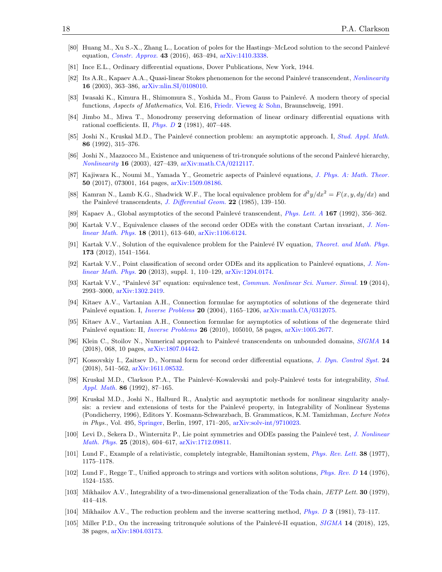- <span id="page-18-14"></span>[80] Huang M., Xu S.-X., Zhang L., Location of poles for the Hastings–McLeod solution to the second Painlevé equation, [Constr. Approx.](https://doi.org/10.1007/s00365-015-9307-1) 43 (2016), 463–494, [arXiv:1410.3338.](https://arxiv.org/abs/1410.3338)
- <span id="page-18-11"></span>[81] Ince E.L., Ordinary differential equations, Dover Publications, New York, 1944.
- <span id="page-18-9"></span>[82] Its A.R., Kapaev A.A., Quasi-linear Stokes phenomenon for the second Painlevé transcendent, [Nonlinearity](https://doi.org/10.1088/0951-7715/16/1/321) 16 (2003), 363–386, [arXiv:nlin.SI/0108010.](https://arxiv.org/abs/nlin.SI/0108010)
- <span id="page-18-24"></span>[83] Iwasaki K., Kimura H., Shimomura S., Yoshida M., From Gauss to Painlevé. A modern theory of special functions, Aspects of Mathematics, Vol. E16, [Friedr. Vieweg & Sohn,](https://doi.org/10.1007/978-3-322-90163-7) Braunschweig, 1991.
- <span id="page-18-22"></span>[84] Jimbo M., Miwa T., Monodromy preserving deformation of linear ordinary differential equations with rational coefficients. II, *[Phys. D](https://doi.org/10.1016/0167-2789(81)90021-X)* 2 (1981), 407–448.
- <span id="page-18-15"></span>[85] Joshi N., Kruskal M.D., The Painlevé connection problem: an asymptotic approach. I, [Stud. Appl. Math.](https://doi.org/10.1002/sapm1992864315) 86 (1992), 315–376.
- <span id="page-18-23"></span>[86] Joshi N., Mazzocco M., Existence and uniqueness of tri-tronquée solutions of the second Painlevé hierarchy, [Nonlinearity](https://doi.org/10.1088/0951-7715/16/2/304) 16 (2003), 427–439, [arXiv:math.CA/0212117.](https://arxiv.org/abs/math.CA/0212117)
- <span id="page-18-2"></span>[87] Kajiwara K., Noumi M., Yamada Y., Geometric aspects of Painlevé equations, [J. Phys. A: Math. Theor.](https://doi.org/10.1088/1751-8121/50/7/073001) 50 (2017), 073001, 164 pages, [arXiv:1509.08186.](https://arxiv.org/abs/1509.08186)
- <span id="page-18-3"></span>[88] Kamran N., Lamb K.G., Shadwick W.F., The local equivalence problem for  $d^2y/dx^2 = F(x, y, dy/dx)$  and the Painlevé transcendents, *[J. Differential Geom.](https://doi.org/10.4310/jdg/1214439817)* 22 (1985), 139-150.
- <span id="page-18-5"></span>[89] Kapaev A., Global asymptotics of the second Painlevé transcendent, *[Phys. Lett. A](https://doi.org/10.1016/0375-9601(92)90271-M)* 167 (1992), 356–362.
- [90] Kartak V.V., Equivalence classes of the second order ODEs with the constant Cartan invariant, [J. Non](https://doi.org/10.1142/S1402925111001799)[linear Math. Phys.](https://doi.org/10.1142/S1402925111001799) 18 (2011), 613–640, [arXiv:1106.6124.](https://arxiv.org/abs/1106.6124)
- <span id="page-18-6"></span>[91] Kartak V.V., Solution of the equivalence problem for the Painlevé IV equation, [Theoret. and Math. Phys.](https://doi.org/10.1007/s11232-012-0132-4) 173 (2012), 1541–1564.
- <span id="page-18-7"></span>[92] Kartak V.V., Point classification of second order ODEs and its application to Painlevé equations, [J. Non](https://doi.org/10.1080/14029251.2013.862438)*[linear Math. Phys.](https://doi.org/10.1080/14029251.2013.862438)* 20 (2013), suppl. 1, 110–129,  $\arXiv:1204.0174$ .
- <span id="page-18-0"></span>[93] Kartak V.V., "Painlevé 34" equation: equivalence test, [Commun. Nonlinear Sci. Numer. Simul.](https://doi.org/10.1016/j.cnsns.2014.01.020) 19 (2014), 2993–3000, [arXiv:1302.2419.](https://arxiv.org/abs/1302.2419)
- <span id="page-18-18"></span>[94] Kitaev A.V., Vartanian A.H., Connection formulae for asymptotics of solutions of the degenerate third Painlevé equation. I, *[Inverse Problems](https://doi.org/10.1088/0266-5611/20/4/010)* 20 (2004), 1165–1206, [arXiv:math.CA/0312075.](https://arxiv.org/abs/math.CA/0312075)
- <span id="page-18-19"></span>[95] Kitaev A.V., Vartanian A.H., Connection formulae for asymptotics of solutions of the degenerate third Painlevé equation: II, *[Inverse Problems](https://doi.org/10.1088/0266-5611/26/10/105010)* **26** (2010), 105010, 58 pages, [arXiv:1005.2677.](https://arxiv.org/abs/1005.2677)
- <span id="page-18-21"></span>[96] Klein C., Stoilov N., Numerical approach to Painlevé transcendents on unbounded domains, [SIGMA](https://doi.org/10.3842/SIGMA.2018.068) 14 (2018), 068, 10 pages, [arXiv:1807.04442.](https://arxiv.org/abs/1807.04442)
- <span id="page-18-20"></span>[97] Kossovskiy I., Zaitsev D., Normal form for second order differential equations, [J. Dyn. Control Syst.](https://doi.org/10.1007/s10883-017-9380-9) 24 (2018), 541–562, [arXiv:1611.08532.](https://arxiv.org/abs/1611.08532)
- <span id="page-18-4"></span>[98] Kruskal M.D., Clarkson P.A., The Painlevé–Kowalevski and poly-Painlevé tests for integrability, [Stud.](https://doi.org/10.1002/sapm199286287) [Appl. Math.](https://doi.org/10.1002/sapm199286287) 86 (1992), 87–165.
- <span id="page-18-10"></span>[99] Kruskal M.D., Joshi N., Halburd R., Analytic and asymptotic methods for nonlinear singularity analysis: a review and extensions of tests for the Painlevé property, in Integrability of Nonlinear Systems (Pondicherry, 1996), Editors Y. Kosmann-Schwarzbach, B. Grammaticos, K.M. Tamizhman, Lecture Notes in Phys., Vol. 495, [Springer,](https://doi.org/10.1007/BFb0113696) Berlin, 1997, 171–205, [arXiv:solv-int/9710023.](https://arxiv.org/abs/solv-int/9710023)
- <span id="page-18-16"></span><span id="page-18-8"></span>[100] Levi D., Sekera D., Winternitz P., Lie point symmetries and ODEs passing the Painlevé test, [J. Nonlinear](https://doi.org/10.1080/14029251.2018.1503435) [Math. Phys.](https://doi.org/10.1080/14029251.2018.1503435) 25 (2018), 604–617, [arXiv:1712.09811.](https://arxiv.org/abs/1712.09811)
- <span id="page-18-17"></span>[101] Lund F., Example of a relativistic, completely integrable, Hamiltonian system, [Phys. Rev. Lett.](https://doi.org/10.1103/PhysRevLett.38.1175) 38 (1977), 1175–1178.
- <span id="page-18-1"></span>[102] Lund F., Regge T., Unified approach to strings and vortices with soliton solutions, [Phys. Rev. D](https://doi.org/10.1103/PhysRevD.14.1524) 14 (1976), 1524–1535.
- <span id="page-18-12"></span>[103] Mikhailov A.V., Integrability of a two-dimensional generalization of the Toda chain, JETP Lett. **30** (1979), 414–418.
- <span id="page-18-13"></span>[104] Mikhailov A.V., The reduction problem and the inverse scattering method, *Phys.* D **3** (1981), 73–117.
- [105] Miller P.D., On the increasing tritronquée solutions of the Painlevé-II equation, [SIGMA](https://doi.org/10.3842/SIGMA.2018.125) 14 (2018), 125, 38 pages, [arXiv:1804.03173.](https://arxiv.org/abs/1804.03173)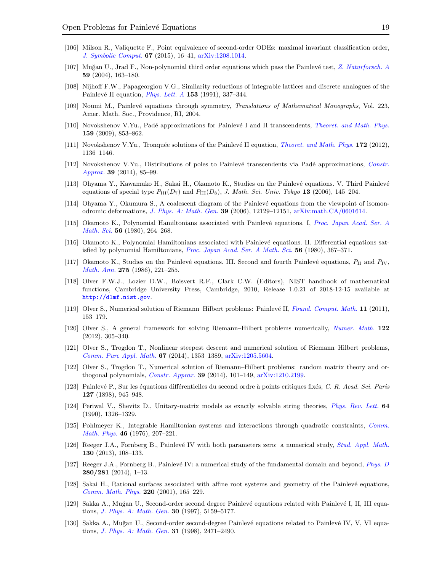- <span id="page-19-9"></span>[106] Milson R., Valiquette F., Point equivalence of second-order ODEs: maximal invariant classification order, [J. Symbolic Comput.](https://doi.org/10.1016/j.jsc.2014.08.003) 67 (2015), 16–41, [arXiv:1208.1014.](https://arxiv.org/abs/1208.1014)
- <span id="page-19-6"></span>[107] Muğan U., Jrad F., Non-polynomial third order equations which pass the Painlevé test, [Z. Naturforsch. A](https://doi.org/10.1515/zna-2004-0309) 59 (2004), 163–180.
- <span id="page-19-13"></span>[108] Nijhoff F.W., Papageorgiou V.G., Similarity reductions of integrable lattices and discrete analogues of the Painlevé II equation, *Phys. Lett.* A  $153$  (1991), 337–344.
- <span id="page-19-10"></span>[109] Noumi M., Painlevé equations through symmetry, Translations of Mathematical Monographs, Vol. 223, Amer. Math. Soc., Providence, RI, 2004.
- <span id="page-19-2"></span><span id="page-19-1"></span>[110] Novokshenov V.Yu., Padé approximations for Painlevé I and II transcendents, *[Theoret. and Math. Phys.](https://doi.org/10.1007/s11232-009-0073-8)* 159 (2009), 853–862.
- <span id="page-19-3"></span><span id="page-19-0"></span>[111] Novokshenov V.Yu., Tronquée solutions of the Painlevé II equation, *[Theoret. and Math. Phys.](https://doi.org/10.1007/s11232-012-0102-x)* 172 (2012), 1136–1146.
- <span id="page-19-7"></span>[112] Novokshenov V.Yu., Distributions of poles to Painlevé transcendents via Padé approximations, [Constr.](https://doi.org/10.1007/s00365-013-9190-6)  $Approx. 39 (2014), 85-99.$  $Approx. 39 (2014), 85-99.$
- <span id="page-19-5"></span>[113] Ohyama Y., Kawamuko H., Sakai H., Okamoto K., Studies on the Painlev´e equations. V. Third Painlev´e equations of special type  $P_{\text{III}}(D_7)$  and  $P_{\text{III}}(D_8)$ , J. Math. Sci. Univ. Tokyo 13 (2006), 145–204.
- <span id="page-19-14"></span><span id="page-19-11"></span>[114] Ohyama Y., Okumura S., A coalescent diagram of the Painlev´e equations from the viewpoint of isomonodromic deformations, [J. Phys. A: Math. Gen.](https://doi.org/10.1088/0305-4470/39/39/S08) 39 (2006), 12129–12151, [arXiv:math.CA/0601614.](https://arxiv.org/abs/math.CA/0601614)
- <span id="page-19-12"></span>[115] Okamoto K., Polynomial Hamiltonians associated with Painlevé equations. I, [Proc. Japan Acad. Ser. A](https://doi.org/10.3792/pjaa.56.264) [Math. Sci.](https://doi.org/10.3792/pjaa.56.264) 56 (1980), 264-268.
- <span id="page-19-15"></span>[116] Okamoto K., Polynomial Hamiltonians associated with Painlev´e equations. II. Differential equations satisfied by polynomial Hamiltonians, [Proc. Japan Acad. Ser. A Math. Sci.](https://doi.org/10.3792/pjaa.56.367) 56 (1980), 367–371.
- <span id="page-19-8"></span>[117] Okamoto K., Studies on the Painlevé equations. III. Second and fourth Painlevé equations,  $P_{II}$  and  $P_{IV}$ , [Math. Ann.](https://doi.org/10.1007/BF01458459) 275 (1986), 221–255.
- <span id="page-19-4"></span>[118] Olver F.W.J., Lozier D.W., Boisvert R.F., Clark C.W. (Editors), NIST handbook of mathematical functions, Cambridge University Press, Cambridge, 2010, Release 1.0.21 of 2018-12-15 available at <http://dlmf.nist.gov>.
- [119] Olver S., Numerical solution of Riemann–Hilbert problems: Painlevé II, [Found. Comput. Math.](https://doi.org/10.1007/s10208-010-9079-8) 11 (2011), 153–179.
- [120] Olver S., A general framework for solving Riemann–Hilbert problems numerically, [Numer. Math.](https://doi.org/10.1007/s00211-012-0459-7) 122 (2012), 305–340.
- [121] Olver S., Trogdon T., Nonlinear steepest descent and numerical solution of Riemann–Hilbert problems, [Comm. Pure Appl. Math.](https://doi.org/10.1002/cpa.21497) 67 (2014), 1353–1389, [arXiv:1205.5604.](https://arxiv.org/abs/1205.5604)
- [122] Olver S., Trogdon T., Numerical solution of Riemann–Hilbert problems: random matrix theory and orthogonal polynomials, *[Constr. Approx.](https://doi.org/10.1007/s00365-013-9221-3)* **39** (2014), 101–149,  $\arXiv:1210.2199$ .
- [123] Painlevé P., Sur les équations différentielles du second ordre à points critiques fixés, C. R. Acad. Sci. Paris 127 (1898), 945–948.
- [124] Periwal V., Shevitz D., Unitary-matrix models as exactly solvable string theories, [Phys. Rev. Lett.](https://doi.org/10.1103/PhysRevLett.64.1326) 64 (1990), 1326–1329.
- [125] Pohlmeyer K., Integrable Hamiltonian systems and interactions through quadratic constraints, [Comm.](https://doi.org/10.1007/BF01609119) [Math. Phys.](https://doi.org/10.1007/BF01609119) 46 (1976), 207–221.
- [126] Reeger J.A., Fornberg B., Painlevé IV with both parameters zero: a numerical study, [Stud. Appl. Math.](https://doi.org/10.1111/j.1467-9590.2012.00564.x) 130 (2013), 108–133.
- [127] Reeger J.A., Fornberg B., Painlevé IV: a numerical study of the fundamental domain and beyond, *[Phys. D](https://doi.org/10.1016/j.physd.2014.04.006)* 280/281 (2014), 1–13.
- [128] Sakai H., Rational surfaces associated with affine root systems and geometry of the Painlev´e equations, [Comm. Math. Phys.](https://doi.org/10.1007/s002200100446) 220 (2001), 165–229.
- [129] Sakka A., Muğan U., Second-order second degree Painlevé equations related with Painlevé I, II, III equations, *[J. Phys. A: Math. Gen.](https://doi.org/10.1088/0305-4470/30/14/025)* **30** (1997), 5159-5177.
- [130] Sakka A., Muğan U., Second-order second-degree Painlevé equations related to Painlevé IV, V, VI equations, *[J. Phys. A: Math. Gen.](https://doi.org/10.1088/0305-4470/31/10/020)* **31** (1998), 2471–2490.